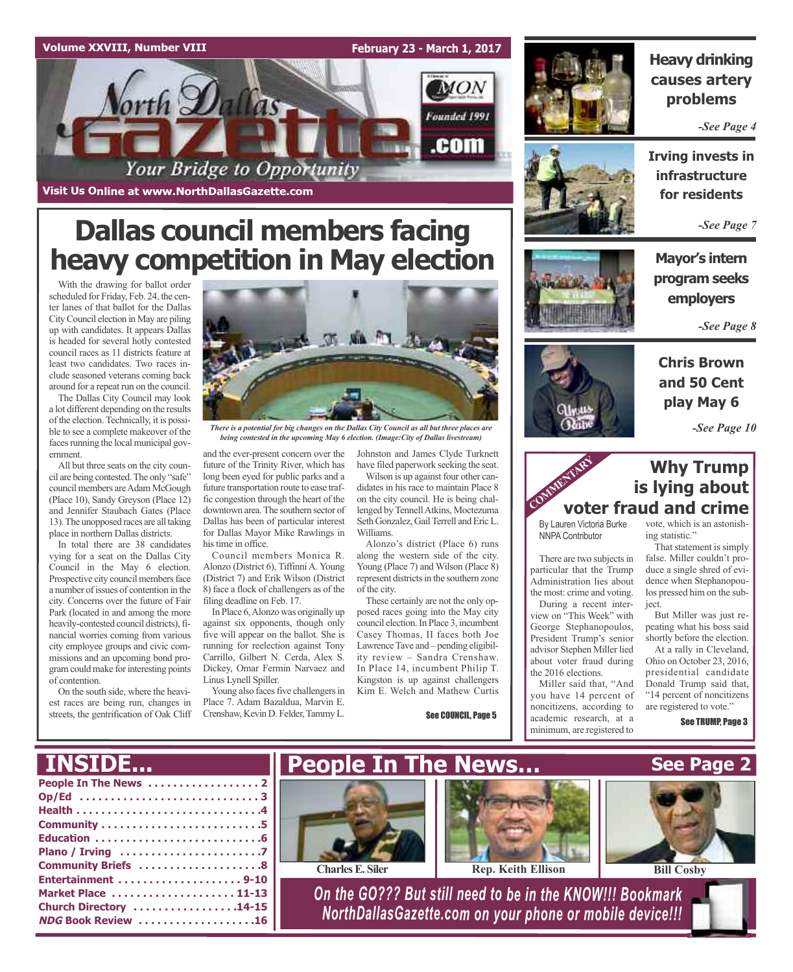#### **Volume XXVIII, Number VIII**

#### **February 23 - March 1, 2017**



**Visit Us Online at www.NorthDallasGazette.com**

## **Dallas council members facing heavy competition in May election**

With the drawing for ballot order scheduled for Friday, Feb. 24, the center lanes of that ballot for the Dallas CityCouncil election in May are piling up with candidates. It appears Dallas is headed for several hotly contested council races as 11 districts feature at least two candidates. Two races include seasoned veterans coming back around for a repeat run on the council.

The Dallas City Council may look a lot different depending on the results of the election. Technically, it is possible to see a complete makeover of the faces running the local municipal government.

All but three seats on the city council are being contested.The only "safe" council members are Adam McGough (Place 10), Sandy Greyson (Place 12) and Jennifer Staubach Gates (Place 13).The unopposed races are all taking place in northern Dallas districts.

In total there are 38 candidates vying for a seat on the Dallas City Council in the May 6 election. Prospective city council members face a number of issues of contention in the city. Concerns over the future of Fair Park (located in and among the more heavily-contested council districts), financial worries coming from various city employee groups and civic commissions and an upcoming bond program could make for interesting points of contention.

On the south side, where the heaviest races are being run, changes in streets, the gentrification of Oak Cliff



*There is a potential for big changes on the Dallas City Council as all but three places are being contested in the upcoming May 6 election. (Image:City of Dallas livestream)*

and the ever-present concern over the future of the Trinity River, which has long been eyed for public parks and a future transportation route to ease traffic congestion through the heart of the downtown area.The southern sector of Dallas has been of particular interest for Dallas Mayor Mike Rawlings in his time in office.

Council members Monica R. Alonzo (District 6), Tiffinni A. Young (District 7) and Erik Wilson (District 8) face a flock of challengers as of the filing deadline on Feb. 17.

In Place 6,Alonzo was originally up against six opponents, though only five will appear on the ballot. She is running for reelection against Tony Carrillo, Gilbert N. Cerda, Alex S. Dickey, Omar Fermin Narvaez and Linus Lynell Spiller.

Young also faces five challengers in Place 7. Adam Bazaldua, Marvin E. Crenshaw, Kevin D. Felder, Tammy L.

Johnston and James Clyde Turknett

have filed paperwork seeking the seat. Wilson is up against four other candidates in his race to maintain Place 8 on the city council. He is being challenged byTennellAtkins, Moctezuma Seth Gonzalez, Gail Terrell and Eric L. Williams.

Alonzo's district (Place 6) runs along the western side of the city. Young (Place 7) and Wilson (Place 8) represent districts in the southern zone of the city.

These certainly are not the only opposed races going into the May city council election.In Place 3, incumbent Casey Thomas, II faces both Joe Lawrence Tave and – pending eligibility review – Sandra Crenshaw. In Place 14, incumbent Philip T. Kingston is up against challengers Kim E. Welch and Mathew Curtis

See COUNCIL, Page 5



### **Heavy drinking causes artery problems**

*-See Page 4*



**Irving invests in infrastructure for residents**

*-See Page 7*

**Mayor's intern program seeks employers**

*-See Page 8*



### **Chris Brown and 50 Cent play May 6**

*-See Page 10*

#### **Why Trump is lying about voter fraud and crime** COMMENTARY

By Lauren Victoria Burke NNPA Contributor

There are two subjects in particular that the Trump Administration lies about the most: crime and voting.

During a recent interview on "This Week" with George Stephanopoulos, President Trump's senior advisor Stephen Miller lied about voter fraud during the 2016 elections.

Miller said that, "And you have 14 percent of noncitizens, according to academic research, at a minimum, are registered to

vote, which is an astonishing statistic."

That statement is simply false. Miller couldn't produce a single shred of evidence when Stephanopoulos pressed him on the subject.

But Miller was just repeating what his boss said shortly before the election.

At a rally in Cleveland, Ohio on October 23, 2016, presidential candidate Donald Trump said that, "14 percent of noncitizens are registered to vote."

See TRUMP, Page 3

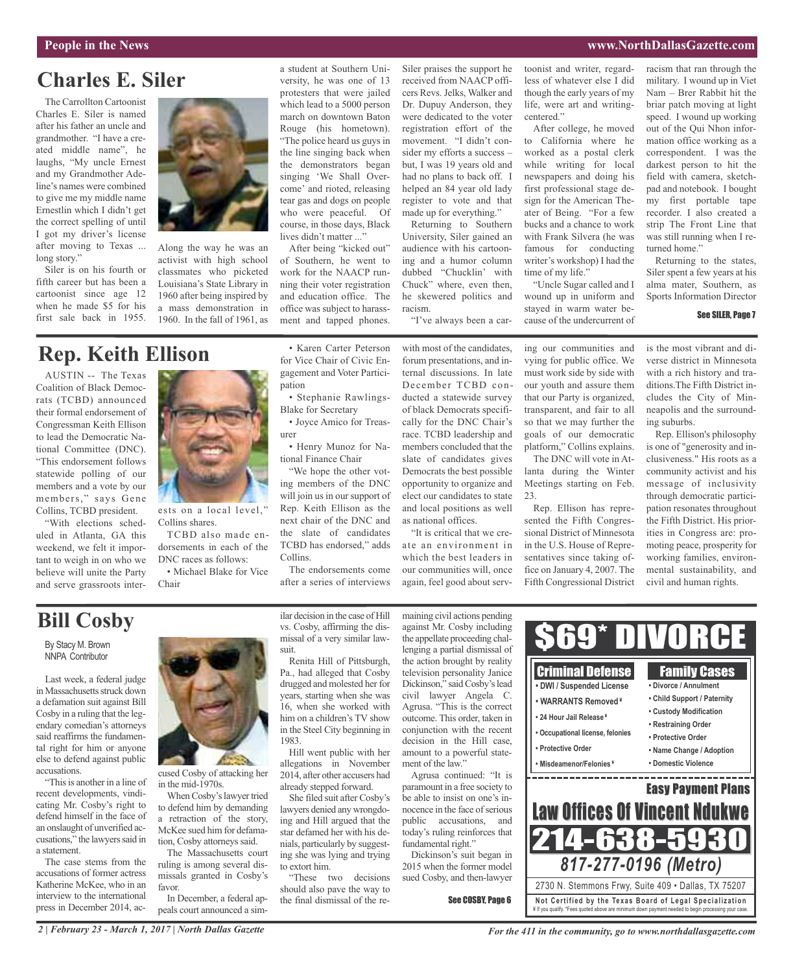#### **People in the News www.NorthDallasGazette.com**

### **Charles E. Siler**

The Carrollton Cartoonist Charles E. Siler is named after his father an uncle and grandmother. "I have a created middle name", he laughs, "My uncle Ernest and my Grandmother Adeline's names were combined to give me my middle name Ernestlin which I didn't get the correct spelling of until I got my driver's license after moving to Texas ... long story."

Siler is on his fourth or fifth career but has been a cartoonist since age 12 when he made \$5 for his first sale back in 1955.



Along the way he was an activist with high school classmates who picketed Louisiana's State Library in 1960 after being inspired by a mass demonstration in 1960. In the fall of 1961, as

### **Rep. Keith Ellison**

AUSTIN -- The Texas Coalition of Black Democrats (TCBD) announced their formal endorsement of Congressman Keith Ellison to lead the Democratic National Committee (DNC). "This endorsement follows statewide polling of our members and a vote by our members," says Gene Collins, TCBD president.

"With elections scheduled in Atlanta, GA this weekend, we felt it important to weigh in on who we believe will unite the Party and serve grassroots inter-



ests on a local level," Collins shares.

TCBD also made endorsements in each of the DNC races as follows:

• Michael Blake for Vice Chair

versity, he was one of 13 protesters that were jailed which lead to a 5000 person march on downtown Baton Rouge (his hometown). "The police heard us guys in the line singing back when the demonstrators began singing 'We Shall Overcome' and rioted, releasing tear gas and dogs on people who were peaceful. Of course, in those days, Black lives didn't matter ..."

a student at Southern Uni-

After being "kicked out" of Southern, he went to work for the NAACP running their voter registration and education office. The office was subject to harassment and tapped phones.

• Karen Carter Peterson for Vice Chair of Civic Engagement and Voter Partici-

• Stephanie Rawlings-

• Joyce Amico for Treas-

• Henry Munoz for Na-

"We hope the other voting members of the DNC will join us in our support of Rep. Keith Ellison as the next chair of the DNC and the slate of candidates TCBD has endorsed," adds

Blake for Secretary

tional Finance Chair

pation

urer

Collins.

Siler praises the support he received from NAACP officers Revs. Jelks, Walker and Dr. Dupuy Anderson, they were dedicated to the voter registration effort of the movement. "I didn't consider my efforts a success – but, I was 19 years old and had no plans to back off. I helped an 84 year old lady register to vote and that made up for everything." Returning to Southern

University, Siler gained an audience with his cartooning and a humor column dubbed "Chucklin' with Chuck" where, even then, he skewered politics and racism.

"I've always been a car-

with most of the candidates, forum presentations, and internal discussions. In late December TCBD conducted a statewide survey of black Democrats specifically for the DNC Chair's race. TCBD leadership and members concluded that the slate of candidates gives Democrats the best possible opportunity to organize and elect our candidates to state and local positions as well as national offices.

"It is critical that we create an environment in which the best leaders in our communities will, once again, feel good about serving our communities and vying for public office. We must work side by side with our youth and assure them that our Party is organized, transparent, and fair to all so that we may further the goals of our democratic cause of the undercurrent of

"Uncle Sugar called and I wound up in uniform and stayed in warm water be-

toonist and writer, regardless of whatever else I did though the early years of my life, were art and writing-

After college, he moved to California where he worked as a postal clerk while writing for local newspapers and doing his first professional stage design for the American Theater of Being. "For a few bucks and a chance to work with Frank Silvera (he was famous for conducting writer's workshop) I had the

centered."

time of my life."

platform," Collins explains. The DNC will vote in Atlanta during the Winter Meetings starting on Feb. 23.

Rep. Ellison has represented the Fifth Congressional District of Minnesota in the U.S. House of Representatives since taking office on January 4, 2007. The Fifth Congressional District racism that ran through the military. I wound up in Viet Nam – Brer Rabbit hit the briar patch moving at light speed. I wound up working out of the Qui Nhon information office working as a correspondent. I was the darkest person to hit the field with camera, sketchpad and notebook. I bought my first portable tape recorder. I also created a strip The Front Line that was still running when I returned home."

Returning to the states, Siler spent a few years at his alma mater, Southern, as Sports Information Director

#### See SILER, Page 7

is the most vibrant and diverse district in Minnesota with a rich history and traditions.The Fifth District includes the City of Minneapolis and the surrounding suburbs.

Rep. Ellison's philosophy is one of "generosity and inclusiveness." His roots as a community activist and his message of inclusivity through democratic participation resonates throughout the Fifth District. His priorities in Congress are: promoting peace, prosperity for working families, environmental sustainability, and civil and human rights.

### **Bill Cosby**

By Stacy M. Brown NNPA Contributor

Last week, a federal judge in Massachusetts struck down a defamation suit against Bill Cosby in a ruling that the legendary comedian's attorneys said reaffirms the fundamental right for him or anyone else to defend against public accusations.

"This is another in a line of recent developments, vindicating Mr. Cosby's right to defend himself in the face of an onslaught of unverified accusations," the lawyers said in a statement.

The case stems from the accusations of former actress Katherine McKee, who in an interview to the international press in December 2014, ac-



cused Cosby of attacking her in the mid-1970s.

When Cosby's lawyer tried to defend him by demanding a retraction of the story, McKee sued him for defamation, Cosby attorneys said.

The Massachusetts court ruling is among several dismissals granted in Cosby's favor.

In December, a federal appeals court announced a similar decision in the case of Hill vs. Cosby, affirming the dismissal of a very similar lawsuit.

The endorsements come after a series of interviews

Renita Hill of Pittsburgh, Pa., had alleged that Cosby drugged and molested her for years, starting when she was 16, when she worked with him on a children's TV show in the Steel City beginning in 1983.

Hill went public with her allegations in November 2014, after other accusers had already stepped forward.

She filed suit after Cosby's lawyers denied any wrongdoing and Hill argued that the star defamed her with his denials, particularly by suggesting she was lying and trying to extort him.

"These two decisions should also pave the way to the final dismissal of the remaining civil actions pending against Mr. Cosby including the appellate proceeding challenging a partial dismissal of the action brought by reality television personality Janice Dickinson," said Cosby's lead civil lawyer Angela C. Agrusa. "This is the correct outcome. This order, taken in conjunction with the recent decision in the Hill case, amount to a powerful statement of the law."

Agrusa continued: "It is paramount in a free society to be able to insist on one's innocence in the face of serious public accusations, and today's ruling reinforces that fundamental right"

Dickinson's suit began in 2015 when the former model sued Cosby, and then-lawyer

See COSBY, Page 6

\$69\* DIVORCE Criminal Defense Family Cases **• DWI / Suspended License • Divorce / Annulment • Child Support / Paternity • WARRANTS Removed ¥ • Custody Modification • 24 Hour Jail Release ¥ • Restraining Order • Occupational license, felonies • Protective Order • Protective Order • Name Change / Adoption • Misdeamenor/Felonies ¥ • Domestic Violence** the control of the control of the control of the control of the control of \_\_\_\_\_\_\_\_\_\_\_\_ Easy Payment Plans Law Offices Of Vincent Ndukwe 214-638-5930 *817-277-0196 (Metro)* 2730 N. Stemmons Frwy, Suite 409 • Dallas, TX 75207 **Not Ce rtified by the Te x a s Boa rd of Lega l Spe c ia l i za tion** ¥ If you qualify. \*Fees quoted above are minimum down payment needed to begin processing your case.

*2 | February 23 - March 1, 2017 | North Dallas Gazette*

*For the 411 in the community, go to www.northdallasgazette.com*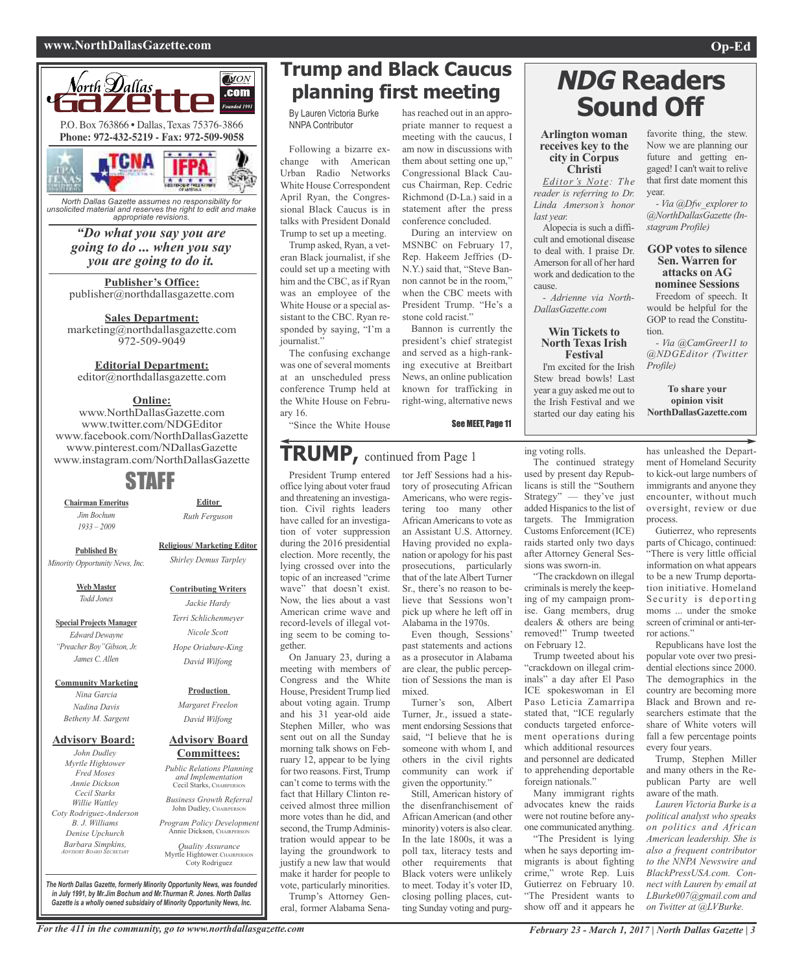#### **www.NorthDallasGazette.com Op-Ed**



*North Dallas Gazette assumes no responsibility for unsolicited material and reserves the right to edit and make appropriate revisions.*

#### *"Do what you say you are going to do ... when you say you are going to do it.*

**Publisher's Office:** publisher@northdallasgazette.com

### **Sales Department:**

marketing@northdallasgazette.com 972-509-9049

#### **Editorial Department:**

editor@northdallasgazette.com

#### **Online:**

www.NorthDallasGazette.com www.twitter.com/NDGEditor www.facebook.com/NorthDallasGazette www.pinterest.com/NDallasGazette www.instagram.com/NorthDallasGazette

### STAFF

**Chairman Emeritus** *Jim Bochum 1933 – 2009*

> **Religious/ Marketing Editor** *Shirley Demus Tarpley*

> > **Contributing Writers** *Jackie Hardy Terri Schlichenmeyer Nicole Scott Hope Oriabure-King David Wilfong*

**Editor** *Ruth Ferguson*

**Published By** *Minority Opportunity News, Inc.*

> **Web Master** *Todd Jones*

**Special Projects Manager** *Edward Dewayne "Preacher Boy"Gibson, Jr. James C. Allen*

**Community Marketing**

*Nina Garcia Nadina Davis Betheny M. Sargent*

#### **Advisory Board:**

*John Dudley Myrtle Hightower Fred Moses Annie Dickson Cecil Starks Willie Wattley Coty Rodriguez-Anderson B. J. Williams Denise Upchurch Barbara Simpkins, ADVISORY BOARD SECRETARY*

**Advisory Board Committees:** *Public Relations Planning and Implementation*

**Production** *Margaret Freelon David Wilfong*

Cecil Starks, CHAIRPERSON *Business Growth Referral* John Dudley, CHAIRPERSON

*Program Policy Development* Annie Dickson, CHAIRPER

*Quality Assurance* Myrtle Hightower, CHAIRPERSON Coty Rodriguez

**Trump and Black Caucus planning first meeting**

> has reached out in an appropriate manner to request a meeting with the caucus, I am now in discussions with them about setting one up," Congressional Black Caucus Chairman, Rep. Cedric Richmond (D-La.) said in a statement after the press conference concluded. During an interview on MSNBC on February 17, Rep. Hakeem Jeffries (D-N.Y.) said that, "Steve Bannon cannot be in the room," when the CBC meets with President Trump. "He's a

stone cold racist.'

Bannon is currently the president's chief strategist and served as a high-ranking executive at Breitbart News, an online publication known for trafficking in right-wing, alternative news

See MEET, Page 11

By Lauren Victoria Burke NNPA Contributor

Following a bizarre exchange with American Urban Radio Networks White House Correspondent April Ryan, the Congressional Black Caucus is in talks with President Donald Trump to set up a meeting.

Trump asked, Ryan, a veteran Black journalist, if she could set up a meeting with him and the CBC, as if Ryan was an employee of the White House or a special assistant to the CBC. Ryan responded by saying, "I'm a journalist."

The confusing exchange was one of several moments at an unscheduled press conference Trump held at the White House on February 16.

"Since the White House

### **TRUMP,** continued from Page <sup>1</sup>

President Trump entered office lying about voter fraud and threatening an investigation. Civil rights leaders have called for an investigation of voter suppression during the 2016 presidential election. More recently, the lying crossed over into the topic of an increased "crime wave" that doesn't exist. Now, the lies about a vast American crime wave and record-levels of illegal voting seem to be coming together.

On January 23, during a meeting with members of Congress and the White House, President Trump lied about voting again. Trump and his 31 year-old aide Stephen Miller, who was sent out on all the Sunday morning talk shows on February 12, appear to be lying for two reasons. First, Trump can't come to terms with the fact that Hillary Clinton received almost three million more votes than he did, and second, the Trump Administration would appear to be laying the groundwork to justify a new law that would make it harder for people to vote, particularly minorities. Trump's Attorney Gen-

eral, former Alabama Sena-

tor Jeff Sessions had a history of prosecuting African Americans, who were registering too many other AfricanAmericansto vote as an Assistant U.S. Attorney. Having provided no explanation or apology for his past prosecutions, particularly that of the late Albert Turner Sr., there's no reason to believe that Sessions won't pick up where he left off in Alabama in the 1970s.

Even though, Sessions' past statements and actions as a prosecutor in Alabama are clear, the public perception of Sessions the man is mixed.

Turner's son, Albert Turner, Jr., issued a statement endorsing Sessions that said, "I believe that he is someone with whom I, and others in the civil rights community can work if given the opportunity."

Still, American history of the disenfranchisement of African American (and other minority) voters is also clear. In the late 1800s, it was a poll tax, literacy tests and other requirements that Black voters were unlikely to meet. Today it's voter ID, closing polling places, cutting Sunday voting and purg-

## **NDG Readers Sound Off**

#### **Arlington woman receives key to the city in Corpus Christi**

*Editor's Note: The reader is referring to Dr. Linda Amerson's honor last year.*

Alopecia is such a difficult and emotional disease to deal with. I praise Dr. Amerson for all of her hard work and dedication to the cause.

*- Adrienne via North-DallasGazette.com*

#### **Win Tickets to North Texas Irish Festival**

I'm excited for the Irish Stew bread bowls! Last year a guy asked me out to the Irish Festival and we started our day eating his

favorite thing, the stew. Now we are planning our future and getting engaged! I can't wait to relive that first date moment this year.

*- Via @Dfw\_explorer to @NorthDallasGazette (Instagram Profile)*

#### **GOP votes to silence Sen. Warren for attacks on AG nominee Sessions**

Freedom of speech. It would be helpful for the GOP to read the Constitution.

*- Via @CamGreer11 to @NDGEditor (Twitter Profile)*

**To share your opinion visit NorthDallasGazette.com**

ing voting rolls.

The continued strategy used by present day Republicans is still the "Southern Strategy" — they've just added Hispanics to the list of targets. The Immigration Customs Enforcement (ICE) raids started only two days after Attorney General Sessions was sworn-in.

"The crackdown on illegal criminals is merely the keeping of my campaign promise. Gang members, drug dealers & others are being removed!" Trump tweeted on February 12.

Trump tweeted about his "crackdown on illegal criminals" a day after El Paso ICE spokeswoman in El Paso Leticia Zamarripa stated that, "ICE regularly conducts targeted enforcement operations during which additional resources and personnel are dedicated to apprehending deportable foreign nationals."

Many immigrant rights advocates knew the raids were not routine before anyone communicated anything.

"The President is lying when he says deporting immigrants is about fighting crime," wrote Rep. Luis Gutierrez on February 10. "The President wants to show off and it appears he

has unleashed the Department of Homeland Security to kick-out large numbers of immigrants and anyone they encounter, without much oversight, review or due process.

Gutierrez, who represents parts of Chicago, continued: "There is very little official information on what appears to be a new Trump deportation initiative. Homeland Security is deporting moms ... under the smoke screen of criminal or anti-terror actions."

Republicans have lost the popular vote over two presidential elections since 2000. The demographics in the country are becoming more Black and Brown and researchers estimate that the share of White voters will fall a few percentage points every four years.

Trump, Stephen Miller and many others in the Republican Party are well aware of the math.

*Lauren Victoria Burke is a political analyst who speaks on politics and African American leadership. She is also a frequent contributor to the NNPA Newswire and BlackPressUSA.com. Connect with Lauren by email at LBurke007@gmail.com and on Twitter at @LVBurke.*

*The North Dallas Gazette, formerly Minority Opportunity News, was founded in July 1991, by Mr.Jim Bochum and Mr.Thurman R. Jones. North Dallas Gazette is a wholly owned subsidairy of Minority Opportunity News, Inc.*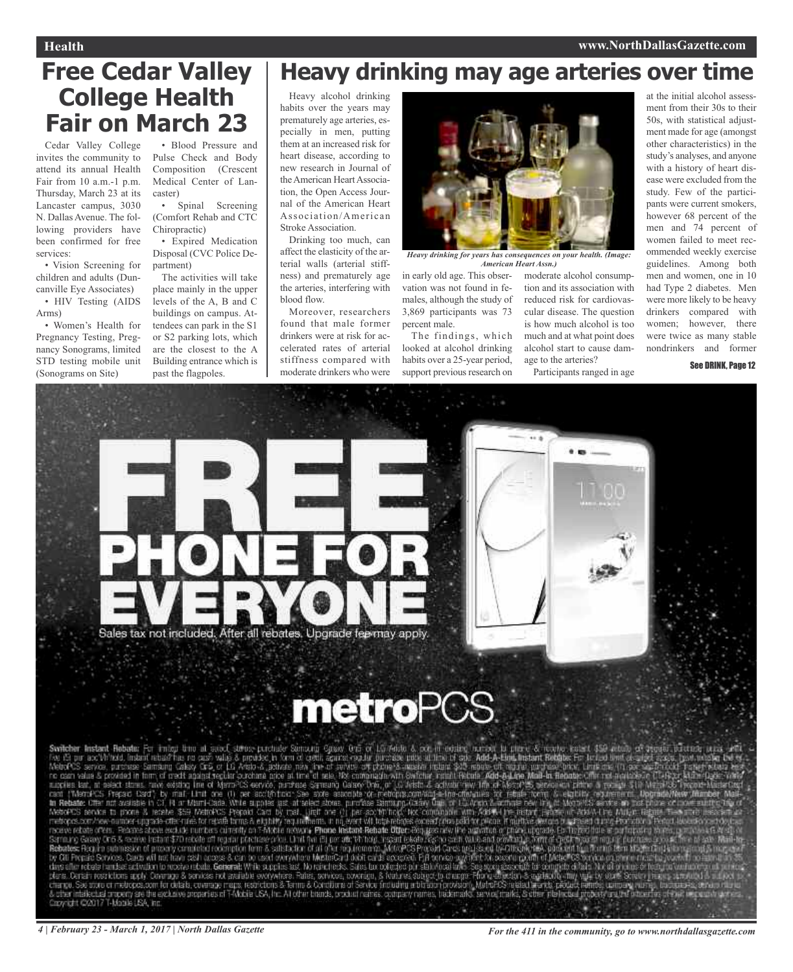#### **Health www.NorthDallasGazette.com**

## **Free Cedar Valley College Health Fair on March 23**

Cedar Valley College invites the community to attend its annual Health Fair from 10 a.m.-1 p.m. Thursday, March 23 at its Lancaster campus, 3030 N. Dallas Avenue. The following providers have been confirmed for free services:

• Vision Screening for children and adults (Duncanville Eye Associates)

• HIV Testing (AIDS Arms)

• Women's Health for Pregnancy Testing, Pregnancy Sonograms, limited STD testing mobile unit (Sonograms on Site)

• Blood Pressure and Pulse Check and Body Composition (Crescent Medical Center of Lancaster)

• Spinal Screening (Comfort Rehab and CTC Chiropractic)

• Expired Medication Disposal (CVC Police Department)

The activities will take place mainly in the upper levels of the A, B and C buildings on campus. Attendees can park in the S1 or S2 parking lots, which are the closest to the A Building entrance which is past the flagpoles.

### **Heavy drinking may age arteries over time**

Heavy alcohol drinking habits over the years may prematurely age arteries, especially in men, putting them at an increased risk for heart disease, according to new research in Journal of the American Heart Association, the Open Access Journal of the American Heart Association/American Stroke Association.

Drinking too much, can affect the elasticity of the arterial walls (arterial stiffness) and prematurely age the arteries, interfering with blood flow.

Moreover, researchers found that male former drinkers were at risk for accelerated rates of arterial stiffness compared with moderate drinkers who were



*Heavy drinking for years has consequences on your health. (Image: American Heart Assn.)*

in early old age. This obser-moderate alcohol consumpvation was not found in females, although the study of 3,869 participants was 73 percent male.

The findings, which looked at alcohol drinking habits over a 25-year period, support previous research on

tion and its association with reduced risk for cardiovascular disease. The question is how much alcohol is too much and at what point does alcohol start to cause damage to the arteries?

Participants ranged in age

at the initial alcohol assessment from their 30s to their 50s, with statistical adjustment made for age (amongst other characteristics) in the study's analyses, and anyone with a history of heart disease were excluded from the study. Few of the participants were current smokers, however 68 percent of the men and 74 percent of women failed to meet recommended weekly exercise guidelines. Among both men and women, one in 10 had Type 2 diabetes. Men were more likely to be heavy drinkers compared with women; however, there were twice as many stable nondrinkers and former

#### See DRINK, Page 12







Switcher Instant Rebater For mind time at associations point of some one of 1.0 7400 A. oct in costing unrest to filter & recovering the cost in a cost of the cost in a section of a control of the Visit Alexander Internal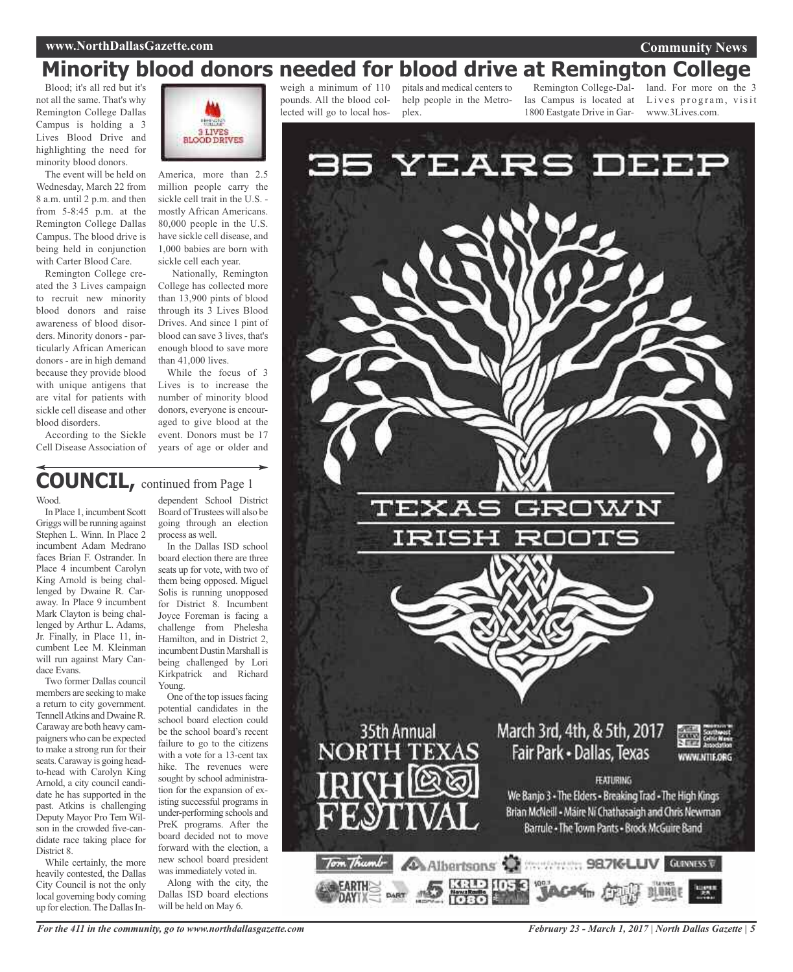#### **www.NorthDallasGazette.com**

#### **Community News**

### **Minority blood donors needed for blood drive at Remington College**

Blood; it's all red but it's not all the same. That's why Remington College Dallas Campus is holding a 3 Lives Blood Drive and highlighting the need for minority blood donors.

The event will be held on Wednesday, March 22 from 8 a.m. until 2 p.m. and then from 5-8:45 p.m. at the Remington College Dallas Campus. The blood drive is being held in conjunction with Carter Blood Care.

Remington College created the 3 Lives campaign to recruit new minority blood donors and raise awareness of blood disorders. Minority donors - particularly African American donors - are in high demand because they provide blood with unique antigens that are vital for patients with sickle cell disease and other blood disorders.

According to the Sickle Cell Disease Association of



America, more than 2.5 million people carry the sickle cell trait in the U.S. mostly African Americans. 80,000 people in the U.S. have sickle cell disease, and 1,000 babies are born with sickle cell each year.

Nationally, Remington College has collected more than 13,900 pints of blood through its 3 Lives Blood Drives. And since 1 pint of blood can save 3 lives, that's enough blood to save more than 41,000 lives.

While the focus of 3 Lives is to increase the number of minority blood donors, everyone is encouraged to give blood at the event. Donors must be 17 years of age or older and

### **COUNCIL,** continued from Page <sup>1</sup>

#### Wood.

In Place 1, incumbent Scott Griggs will be running against Stephen L. Winn. In Place 2 incumbent Adam Medrano faces Brian F. Ostrander. In Place 4 incumbent Carolyn King Arnold is being challenged by Dwaine R. Caraway. In Place 9 incumbent Mark Clayton is being challenged by Arthur L. Adams, Jr. Finally, in Place 11, incumbent Lee M. Kleinman will run against Mary Candace Evans.

Two former Dallas council members are seeking to make a return to city government. TennellAtkins and DwaineR. Caraway are both heavy campaigners who can be expected to make a strong run for their seats.Caraway is going headto-head with Carolyn King Arnold, a city council candidate he has supported in the past. Atkins is challenging Deputy Mayor Pro Tem Wilson in the crowded five-candidate race taking place for District 8.

While certainly, the more heavily contested, the Dallas City Council is not the only local governing body coming up for election. The Dallas In-

dependent School District Board ofTrustees will also be going through an election process as well.

In the Dallas ISD school board election there are three seats up for vote, with two of them being opposed. Miguel Solis is running unopposed for District 8. Incumbent Joyce Foreman is facing a challenge from Phelesha Hamilton, and in District 2, incumbent Dustin Marshall is being challenged by Lori Kirkpatrick and Richard Young.

One of the top issues facing potential candidates in the school board election could be the school board's recent failure to go to the citizens with a vote for a 13-cent tax hike. The revenues were sought by school administration for the expansion of existing successful programs in under-performing schools and PreK programs. After the board decided not to move forward with the election, a new school board president was immediately voted in.

Along with the city, the Dallas ISD board elections will be held on May 6.

weigh a minimum of 110 pounds. All the blood collected will go to local hos-

pitals and medical centers to help people in the Metroplex.

1800 Eastgate Drive in Gar-

Remington College-Dal-land. For more on the 3 las Campus is located at Lives program, visit www.3Lives.com.



*February 23 - March 1, 2017 | North Dallas Gazette | 5*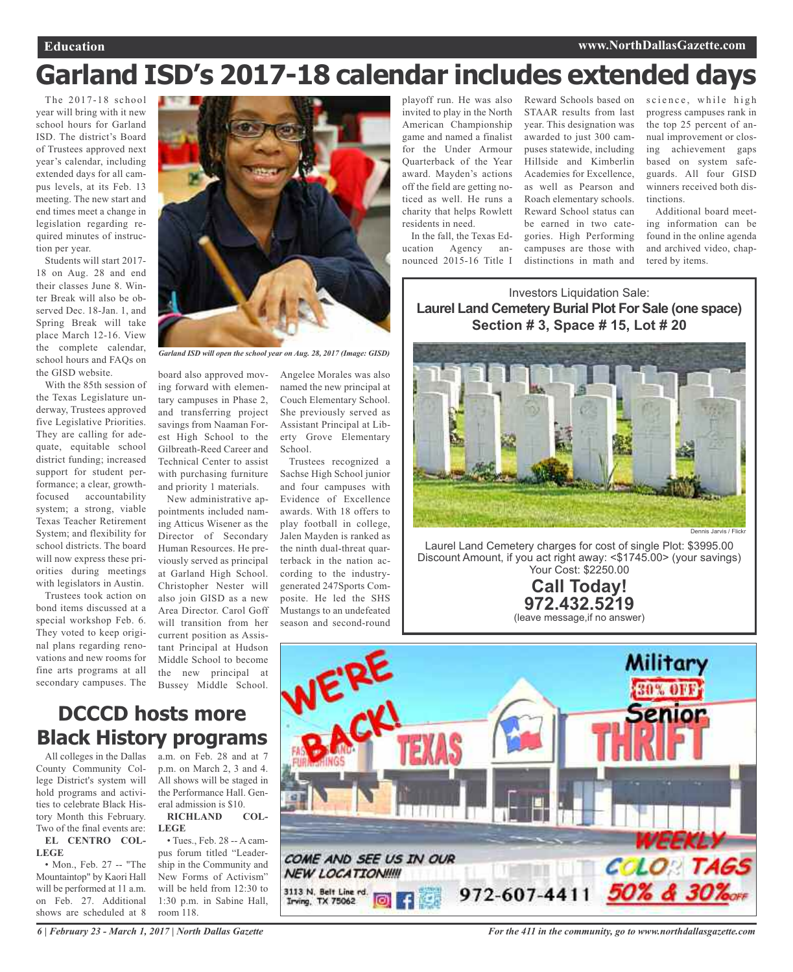## **Garland ISD's 2017-18 calendar includes extended days**

The 2017-18 school year will bring with it new school hours for Garland ISD. The district's Board of Trustees approved next year's calendar, including extended days for all campus levels, at its Feb. 13 meeting. The new start and end times meet a change in legislation regarding required minutes of instruction per year.

Students will start 2017- 18 on Aug. 28 and end their classes June 8. Winter Break will also be observed Dec. 18-Jan. 1, and Spring Break will take place March 12-16. View the complete calendar, school hours and FAQs on the GISD website.

With the 85th session of the Texas Legislature underway, Trustees approved five Legislative Priorities. They are calling for adequate, equitable school district funding; increased support for student performance; a clear, growthfocused accountability system; a strong, viable Texas Teacher Retirement System; and flexibility for school districts. The board will now express these priorities during meetings with legislators in Austin.

Trustees took action on bond items discussed at a special workshop Feb. 6. They voted to keep original plans regarding renovations and new rooms for fine arts programs at all secondary campuses. The



*Garland ISD will open the school year on Aug. 28, 2017 (Image: GISD)*

board also approved moving forward with elementary campuses in Phase 2, and transferring project savings from Naaman Forest High School to the Gilbreath-Reed Career and Technical Center to assist with purchasing furniture and priority 1 materials.

New administrative appointments included naming Atticus Wisener as the Director of Secondary Human Resources. He previously served as principal at Garland High School. Christopher Nester will also join GISD as a new Area Director. Carol Goff will transition from her current position as Assistant Principal at Hudson Middle School to become the new principal at Bussey Middle School.

Angelee Morales was also named the new principal at Couch Elementary School. She previously served as Assistant Principal at Liberty Grove Elementary School.

Trustees recognized a Sachse High School junior and four campuses with Evidence of Excellence awards. With 18 offers to play football in college, Jalen Mayden is ranked as the ninth dual-threat quarterback in the nation according to the industrygenerated 247Sports Composite. He led the SHS Mustangs to an undefeated season and second-round

playoff run. He was also invited to play in the North American Championship game and named a finalist for the Under Armour Quarterback of the Year award. Mayden's actions off the field are getting noticed as well. He runs a charity that helps Rowlett residents in need.

In the fall, the Texas Education Agency announced 2015-16 Title I

Reward Schools based on science, while high STAAR results from last year. This designation was awarded to just 300 campuses statewide, including Hillside and Kimberlin Academies for Excellence, as well as Pearson and Roach elementary schools. Reward School status can be earned in two categories. High Performing campuses are those with distinctions in math and

progress campuses rank in the top 25 percent of annual improvement or closing achievement gaps based on system safeguards. All four GISD winners received both distinctions.

Additional board meeting information can be found in the online agenda and archived video, chaptered by items.

Investors Liquidation Sale: **Laurel Land Cemetery Burial Plot For Sale (one space) Section # 3, Space # 15, Lot # 20**



Laurel Land Cemetery charges for cost of single Plot: \$3995.00 Discount Amount, if you act right away: <\$1745.00> (your savings) Your Cost: \$2250.00

> **Call Today! 972.432.5219** (leave message,if no answer)



**DCCCD hosts more Black History programs**

All colleges in the Dallas County Community College District's system will hold programs and activities to celebrate Black History Month this February. Two of the final events are:

**EL CENTRO COL-LEGE**

• Mon., Feb. 27 -- "The Mountaintop" by Kaori Hall will be performed at 11 a.m. on Feb. 27. Additional shows are scheduled at 8 a.m. on Feb. 28 and at 7 p.m. on March 2, 3 and 4. All shows will be staged in the Performance Hall. General admission is \$10.<br>RICHLAND COL-

**RICHLAND LEGE**

• Tues., Feb. 28 -- A campus forum titled "Leadership in the Community and New Forms of Activism" will be held from 12:30 to 1:30 p.m. in Sabine Hall, room 118.

*6 | February 23 - March 1, 2017 | North Dallas Gazette*

*For the 411 in the community, go to www.northdallasgazette.com*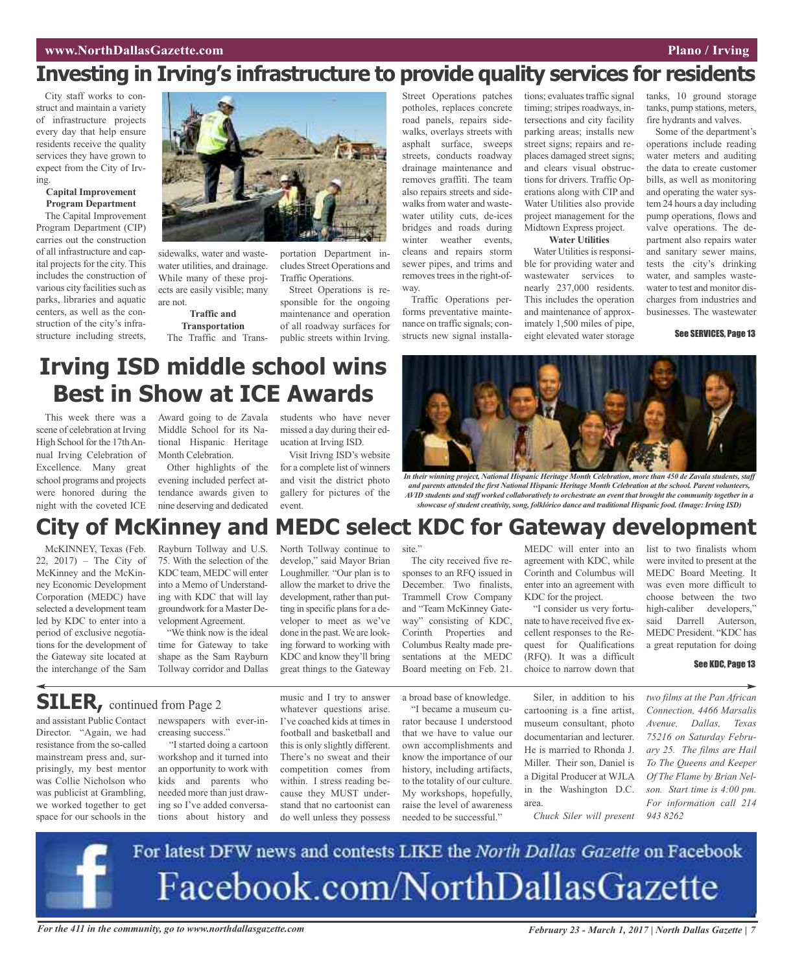### **Investing in Irving's infrastructure to provide quality services for residents**

City staff works to construct and maintain a variety of infrastructure projects every day that help ensure residents receive the quality services they have grown to expect from the City of Irving.

#### **Capital Improvement Program Department**

The Capital Improvement Program Department (CIP) carries out the construction of all infrastructure and capital projects for the city. This includes the construction of various city facilities such as parks, libraries and aquatic centers, as well as the construction of the city's infrastructure including streets,



sidewalks, water and wastewater utilities, and drainage. While many of these projects are easily visible; many are not.

**Traffic and Transportation** The Traffic and Transportation Department includes Street Operations and Traffic Operations.

Street Operations is responsible for the ongoing maintenance and operation of all roadway surfaces for public streets within Irving.

Street Operations patches potholes, replaces concrete road panels, repairs sidewalks, overlays streets with asphalt surface, sweeps streets, conducts roadway drainage maintenance and removes graffiti. The team also repairs streets and sidewalks from water and wastewater utility cuts, de-ices bridges and roads during winter weather events, cleans and repairs storm sewer pipes, and trims and removes trees in the right-ofway.

Traffic Operations performs preventative maintenance on traffic signals; constructs new signal installations; evaluates traffic signal timing; stripes roadways, intersections and city facility parking areas; installs new street signs; repairs and replaces damaged street signs; and clears visual obstructions for drivers. Traffic Operations along with CIP and Water Utilities also provide project management for the Midtown Express project. **Water Utilities**

Water Utilities is responsible for providing water and wastewater services to nearly 237,000 residents. This includes the operation and maintenance of approximately 1,500 miles of pipe, eight elevated water storage

tanks, 10 ground storage tanks, pump stations, meters, fire hydrants and valves.

Some of the department's operations include reading water meters and auditing the data to create customer bills, as well as monitoring and operating the water system 24 hours a day including pump operations, flows and valve operations. The department also repairs water and sanitary sewer mains, tests the city's drinking water, and samples wastewater to test and monitor discharges from industries and businesses. The wastewater

#### See SERVICES, Page 13

## **Irving ISD middle school wins Best in Show at ICE Awards**

This week there was a scene of celebration at Irving High School for the 17th Annual Irving Celebration of Excellence. Many great school programs and projects were honored during the night with the coveted ICE

Award going to de Zavala Middle School for its National Hispanic Heritage Month Celebration.

Other highlights of the evening included perfect attendance awards given to nine deserving and dedicated

students who have never missed a day during their education at Irving ISD.

Visit Irivng ISD's website for a complete list of winners and visit the district photo gallery for pictures of the event.



*In their winning project, National Hispanic Heritage Month Celebration, more than 450 de Zavala students, staff and parents attended the first National Hispanic Heritage Month Celebration at the school. Parent volunteers,* AVID students and staff worked collaboratively to orchestrate an event that brought the community together in a *showcase of student creativity, song, folklórico dance and traditional Hispanic food. (Image: Irving ISD)*

### **City of McKinney and MEDC select KDC for Gateway development**

site."

McKINNEY, Texas (Feb. 22, 2017) – The City of McKinney and the McKinney Economic Development Corporation (MEDC) have selected a development team led by KDC to enter into a period of exclusive negotiations for the development of the Gateway site located at the interchange of the Sam

Rayburn Tollway and U.S. 75. With the selection of the KDC team, MEDC will enter into a Memo of Understanding with KDC that will lay groundwork for a Master Development Agreement.

"We think now is the ideal time for Gateway to take shape as the Sam Rayburn Tollway corridor and Dallas

North Tollway continue to develop," said Mayor Brian Loughmiller. "Our plan is to allow the market to drive the development, rather than putting in specific plans for a developer to meet as we've done in the past.We are looking forward to working with KDC and know they'll bring great things to the Gateway

way" consisting of KDC, Corinth Properties and Columbus Realty made presentations at the MEDC

Board meeting on Feb. 21.

The city received five responses to an RFQ issued in December. Two finalists, Trammell Crow Company and "Team McKinney GateMEDC will enter into an agreement with KDC, while Corinth and Columbus will enter into an agreement with KDC for the project.

"I consider us very fortunate to have received five excellent responses to the Request for Qualifications (RFQ). It was a difficult choice to narrow down that

list to two finalists whom were invited to present at the MEDC Board Meeting. It was even more difficult to choose between the two high-caliber developers," said Darrell Auterson, MEDC President. "KDC has a great reputation for doing

*two films at the Pan African Connection, 4466 Marsalis Avenue, Dallas, Texas 75216 on Saturday February 25. The films are Hail To The Queens and Keeper Of The Flame by Brian Nelson. Start time is 4:00 pm. For information call 214*

#### See KDC, Page 13

**SILER,** continued from Page <sup>2</sup>

and assistant Public Contact Director. "Again, we had resistance from the so-called mainstream press and, surprisingly, my best mentor was Collie Nicholson who was publicist at Grambling, we worked together to get space for our schools in the

newspapers with ever-increasing success."

"I started doing a cartoon workshop and it turned into an opportunity to work with kids and parents who needed more than just drawing so I've added conversations about history and music and I try to answer whatever questions arise. I've coached kids at times in football and basketball and this is only slightly different. There's no sweat and their competition comes from within. I stress reading because they MUST understand that no cartoonist can do well unless they possess

a broad base of knowledge.

"I became a museum curator because I understood that we have to value our own accomplishments and know the importance of our history, including artifacts, to the totality of our culture. My workshops, hopefully, raise the level of awareness needed to be successful."

Siler, in addition to his cartooning is a fine artist, museum consultant, photo documentarian and lecturer. He is married to Rhonda J. Miller. Their son, Daniel is a Digital Producer at WJLA in the Washington D.C. area.

*Chuck Siler will present*

For latest DFW news and contests LIKE the North Dallas Gazette on Facebook Facebook.com/NorthDallasGazette

For the 411 in the community, go to www.northdallasgazette.com February 23 - March 1, 2017 | North Dallas Gazette | 7

*943 8262*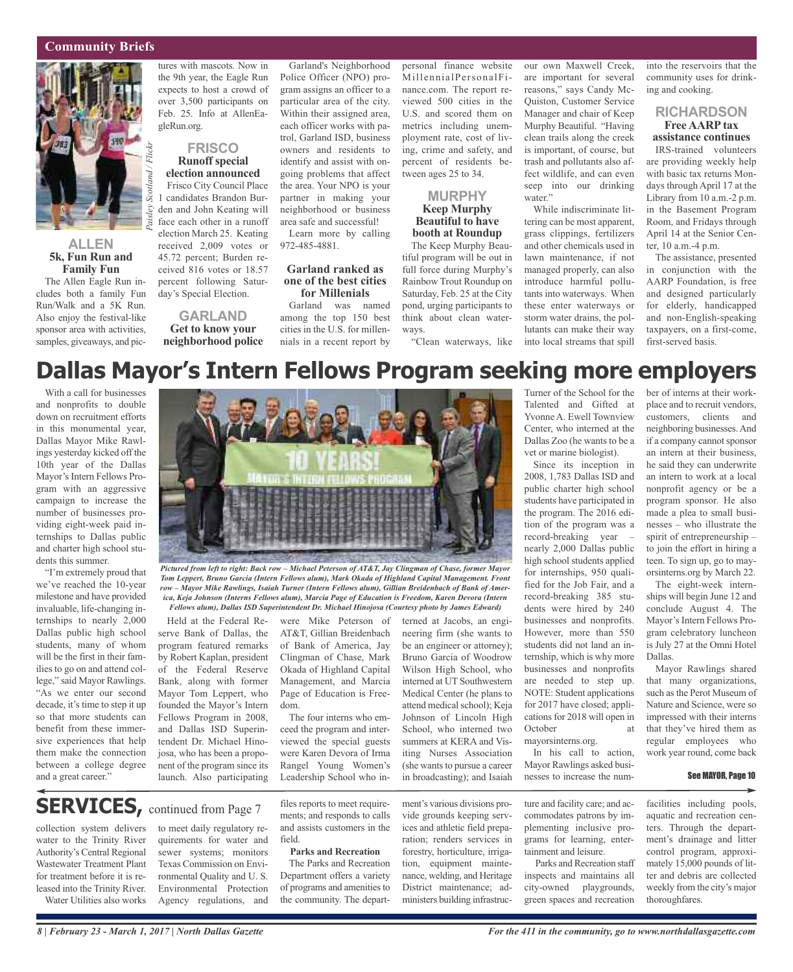#### **Community Briefs**



#### **ALLEN 5k, Fun Run and Family Fun**

The Allen Eagle Run includes both a family Fun Run/Walk and a 5K Run. Also enjoy the festival-like sponsor area with activities, samples, giveaways, and pictures with mascots. Now in the 9th year, the Eagle Run expects to host a crowd of over 3,500 participants on Feb. 25. Info at AllenEagleRun.org.

#### **FRISCO Runoff special election announced**

Frisco City Council Place 1 candidates Brandon Burden and John Keating will face each other in a runoff election March 25. Keating received 2,009 votes or 45.72 percent; Burden received 816 votes or 18.57 percent following Saturday's Special Election.

#### **GARLAND Get to know your neighborhood police**

Garland's Neighborhood Police Officer (NPO) program assigns an officer to a particular area of the city. Within their assigned area, each officer works with patrol, Garland ISD, business owners and residents to identify and assist with ongoing problems that affect the area. Your NPO is your partner in making your neighborhood or business area safe and successful!

Learn more by calling 972-485-4881.

#### **Garland ranked as one of the best cities for Millenials**

Garland was named among the top 150 best cities in the U.S. for millennials in a recent report by personal finance website MillennialPersonalFinance.com. The report reviewed 500 cities in the U.S. and scored them on metrics including unemployment rate, cost of living, crime and safety, and percent of residents between ages 25 to 34.

#### **MURPHY Keep Murphy Beautiful to have booth at Roundup**

The Keep Murphy Beautiful program will be out in full force during Murphy's Rainbow Trout Roundup on Saturday, Feb. 25 at the City pond, urging participants to think about clean waterways.

our own Maxwell Creek, are important for several reasons," says Candy Mc-Quiston, Customer Service Manager and chair of Keep Murphy Beautiful. "Having clean trails along the creek is important, of course, but trash and pollutants also affect wildlife, and can even seep into our drinking water."

"Clean waterways, like into local streams that spill While indiscriminate littering can be most apparent, grass clippings, fertilizers and other chemicals used in lawn maintenance, if not managed properly, can also introduce harmful pollutants into waterways. When these enter waterways or storm water drains, the pollutants can make their way

into the reservoirs that the community uses for drinking and cooking.

#### **RICHARDSON Free AARP tax**

**assistance continues** IRS-trained volunteers are providing weekly help with basic tax returns Mondays through April 17 at the Library from 10 a.m.-2 p.m. in the Basement Program Room, and Fridays through April 14 at the Senior Center, 10 a.m.-4 p.m.

The assistance, presented in conjunction with the AARP Foundation, is free and designed particularly for elderly, handicapped and non-English-speaking taxpayers, on a first-come, first-served basis.

## **Dallas Mayor's Intern Fellows Program seeking more employers**

With a call for businesses and nonprofits to double down on recruitment efforts in this monumental year, Dallas Mayor Mike Rawlings yesterday kicked off the 10th year of the Dallas Mayor's Intern Fellows Program with an aggressive campaign to increase the number of businesses providing eight-week paid internships to Dallas public and charter high school students this summer.

"I'm extremely proud that we've reached the 10-year milestone and have provided invaluable, life-changing internships to nearly 2,000 Dallas public high school students, many of whom will be the first in their families to go on and attend college," said Mayor Rawlings. "As we enter our second decade, it's time to step it up so that more students can benefit from these immersive experiences that help them make the connection between a college degree and a great career."



Pictured from left to right: Back row - Michael Peterson of AT&T, Jay Clingman of Chase, former Mayor *Tom Leppert, Bruno Garcia (Intern Fellows alum), Mark Okada of Highland Capital Management. Front row – Mayor Mike Rawlings, Isaiah Turner (Intern Fellows alum), Gillian Breidenbach of Bank of America, Keja Johnson (Interns Fellows alum), Marcia Page of Education is Freedom, Karen Devora (Intern Fellows alum), Dallas ISD Superintendent Dr. Michael Hinojosa (Courtesy photo by James Edward)*

Held at the Federal Reserve Bank of Dallas, the program featured remarks by Robert Kaplan, president of the Federal Reserve Bank, along with former Mayor Tom Leppert, who founded the Mayor's Intern Fellows Program in 2008, and Dallas ISD Superintendent Dr. Michael Hinojosa, who has been a proponent of the program since its launch. Also participating

were Mike Peterson of AT&T, Gillian Breidenbach of Bank of America, Jay Clingman of Chase, Mark Okada of Highland Capital Management, and Marcia Page of Education is Freedom.

The four interns who emceed the program and interviewed the special guests were Karen Devora of Irma Rangel Young Women's Leadership School who in-

files reports to meet requirements; and responds to calls and assists customers in the

**Parks and Recreation** The Parks and Recreation Department offers a variety of programs and amenities to the community. The depart-

field.

terned at Jacobs, an engineering firm (she wants to be an engineer or attorney); Bruno Garcia of Woodrow Wilson High School, who interned at UT Southwestern Medical Center (he plans to attend medical school); Keja Johnson of Lincoln High School, who interned two summers at KERA and Visiting Nurses Association (she wants to pursue a career in broadcasting); and Isaiah

ment's various divisions provide grounds keeping services and athletic field preparation; renders services in forestry, horticulture, irrigation, equipment maintenance, welding, and Heritage District maintenance; administers building infrastruc-

Turner of the School for the Talented and Gifted at Yvonne A. Ewell Townview Center, who interned at the Dallas Zoo (he wants to be a vet or marine biologist).

Since its inception in 2008, 1,783 Dallas ISD and public charter high school students have participated in the program. The 2016 edition of the program was a record-breaking year – nearly 2,000 Dallas public high school students applied for internships, 950 qualified for the Job Fair, and a record-breaking 385 students were hired by 240 businesses and nonprofits. However, more than 550 students did not land an internship, which is why more businesses and nonprofits are needed to step up. NOTE: Student applications for 2017 have closed; applications for 2018 will open in October mayorsinterns.org.

In his call to action, Mayor Rawlings asked businesses to increase the num-

ture and facility care; and accommodates patrons by implementing inclusive programs for learning, entertainment and leisure. Parks and Recreation staff

inspects and maintains all city-owned playgrounds, green spaces and recreation ber of interns at their workplace and to recruit vendors, customers, clients and neighboring businesses.And if a company cannot sponsor an intern at their business, he said they can underwrite an intern to work at a local nonprofit agency or be a program sponsor. He also made a plea to small businesses – who illustrate the spirit of entrepreneurship – to join the effort in hiring a teen. To sign up, go to mayorsinterns.org by March 22.

The eight-week internships will begin June 12 and conclude August 4. The Mayor's Intern Fellows Program celebratory luncheon is July 27 at the Omni Hotel Dallas.

Mayor Rawlings shared that many organizations, such asthe Perot Museum of Nature and Science, were so impressed with their interns that they've hired them as regular employees who work year round, come back

#### See MAYOR, Page 10

facilities including pools, aquatic and recreation centers. Through the department's drainage and litter control program, approximately 15,000 pounds of litter and debris are collected weekly from the city's major thoroughfares.

#### water to the Trinity River Authority's Central Regional

**SERVICES**, continued from Page 7

Wastewater Treatment Plant for treatment before it is released into the Trinity River. Water Utilities also works

collection system delivers

to meet daily regulatory requirements for water and sewer systems; monitors Texas Commission on Environmental Quality and U. S. Environmental Protection Agency regulations, and

*8 | February 23 - March 1, 2017 | North Dallas Gazette*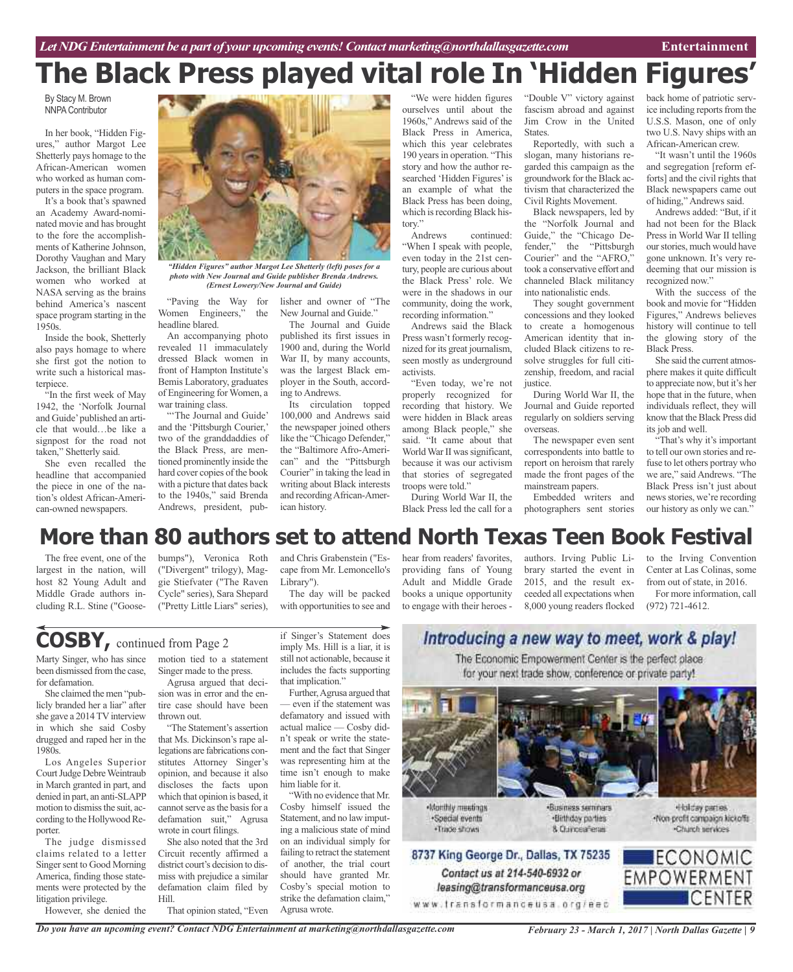# **The Black Press played vital role In 'Hidden Figures'**

By Stacy M. Brown **NNPA Contributor** 

In her book, "Hidden Figures," author Margot Lee Shetterly pays homage to the African-American women who worked as human computers in the space program.

It's a book that's spawned an Academy Award-nominated movie and has brought to the fore the accomplishments of Katherine Johnson, Dorothy Vaughan and Mary Jackson, the brilliant Black women who worked at NASA serving as the brains behind America's nascent space program starting in the 1950s.

Inside the book, Shetterly also pays homage to where she first got the notion to write such a historical masterpiece.

"In the first week of May 1942, the 'Norfolk Journal and Guide'published an article that would…be like a signpost for the road not taken," Shetterly said.

She even recalled the headline that accompanied the piece in one of the nation's oldest African-American-owned newspapers.



*"Hidden Figures" author Margot Lee Shetterly (left) poses for a photo with New Journal and Guide publisher Brenda Andrews. (Ernest Lowery/New Journal and Guide)*

"Paving the Way for Women Engineers," the headline blared.

An accompanying photo revealed 11 immaculately dressed Black women in front of Hampton Institute's Bemis Laboratory, graduates of Engineering forWomen, a war training class.

"The Journal and Guide' and the 'Pittsburgh Courier,' two of the granddaddies of the Black Press, are mentioned prominently inside the hard cover copies of the book with a picture that dates back to the 1940s," said Brenda Andrews, president, pub-

lisher and owner of "The New Journal and Guide."

The Journal and Guide published its first issues in 1900 and, during the World War II, by many accounts, was the largest Black employer in the South, according to Andrews.

Its circulation topped 100,000 and Andrews said the newspaper joined others like the "Chicago Defender," the "Baltimore Afro-American" and the "Pittsburgh Courier" in taking the lead in writing about Black interests and recordingAfrican-American history.

"We were hidden figures ourselves until about the 1960s," Andrews said of the Black Press in America, which this year celebrates 190 years in operation. "This story and how the author researched 'Hidden Figures'is an example of what the Black Press has been doing, which is recording Black his-

tory."<br>Andrews continued: "When I speak with people, even today in the 21st century, people are curious about the Black Press' role. We were in the shadows in our community, doing the work, recording information."

Andrews said the Black Press wasn't formerly recognized for its great journalism, seen mostly as underground activists.

"Even today, we're not properly recognized for recording that history. We were hidden in Black areas among Black people," she said. "It came about that World War II was significant, because it was our activism that stories of segregated troops were told."

During World War II, the Black Press led the call for a "Double V" victory against fascism abroad and against Jim Crow in the United States.

Reportedly, with such a slogan, many historians regarded this campaign as the groundwork for the Black activism that characterized the Civil Rights Movement.

Black newspapers, led by the "Norfolk Journal and Guide," the "Chicago Defender," the "Pittsburgh Courier" and the "AFRO," took a conservative effort and channeled Black militancy into nationalistic ends.

They sought government concessions and they looked to create a homogenous American identity that included Black citizens to resolve struggles for full citizenship, freedom, and racial justice.

During World War II, the Journal and Guide reported regularly on soldiers serving overseas.

The newspaper even sent correspondents into battle to report on heroism that rarely made the front pages of the mainstream papers.

Embedded writers and photographers sent stories

back home of patriotic service including reports from the U.S.S. Mason, one of only two U.S. Navy ships with an African-American crew.

"It wasn't until the 1960s and segregation [reform efforts] and the civil rights that Black newspapers came out of hiding," Andrews said.

Andrews added: "But, if it had not been for the Black Press in World War II telling our stories, much would have gone unknown. It's very redeeming that our mission is recognized now."

With the success of the book and movie for "Hidden Figures," Andrews believes history will continue to tell the glowing story of the Black Press.

She said the current atmosphere makes it quite difficult to appreciate now, but it's her hope that in the future, when individuals reflect, they will know that the Black Press did its job and well.

"That's why it's important to tell our own stories and refuse to let others portray who we are," said Andrews. "The Black Press isn't just about news stories, we're recording our history as only we can."

## **More than 80 authors set to attend North Texas Teen Book Festival**

The free event, one of the largest in the nation, will host 82 Young Adult and Middle Grade authors including R.L. Stine ("Goose-

bumps"), Veronica Roth ("Divergent" trilogy), Maggie Stiefvater ("The Raven Cycle" series), Sara Shepard ("Pretty Little Liars" series),

**COSBY,** continued from Page <sup>2</sup>

Marty Singer, who has since been dismissed from the case, for defamation.

She claimed the men "publicly branded her a liar" after she gave a 2014 TV interview in which she said Cosby drugged and raped her in the 1980s.

Los Angeles Superior Court Judge Debre Weintraub in March granted in part, and denied in part, an anti-SLAPP motion to dismiss the suit, according to the Hollywood Reporter.

The judge dismissed claims related to a letter Singer sent to Good Morning America, finding those statements were protected by the litigation privilege.

However, she denied the

motion tied to a statement

Singer made to the press. Agrusa argued that deci-

sion was in error and the entire case should have been thrown out.

"The Statement's assertion that Ms. Dickinson's rape allegations are fabrications constitutes Attorney Singer's opinion, and because it also discloses the facts upon which that opinion is based, it cannot serve as the basis for a defamation suit," Agrusa wrote in court filings.

She also noted that the 3rd Circuit recently affirmed a district court's decision to dismiss with prejudice a similar defamation claim filed by Hill.

That opinion stated, "Even

cape from Mr. Lemoncello's Library"). The day will be packed with opportunities to see and

and Chris Grabenstein ("Es-

if Singer's Statement does imply Ms. Hill is a liar, it is still not actionable, because it includes the facts supporting

Further, Agrusa argued that — even if the statement was defamatory and issued with actual malice — Cosby didn't speak or write the statement and the fact that Singer was representing him at the time isn't enough to make

"With no evidence that Mr. Cosby himself issued the Statement, and no law imputing a malicious state of mind on an individual simply for failing to retract the statement of another, the trial court should have granted Mr. Cosby's special motion to strike the defamation claim,"

that implication.'

him liable for it.

Agrusa wrote.

hear from readers' favorites, providing fans of Young Adult and Middle Grade books a unique opportunity to engage with their heroes -

authors. Irving Public Library started the event in 2015, and the result exceeded all expectations when 8,000 young readers flocked

to the Irving Convention Center at Las Colinas, some from out of state, in 2016.

For more information, call (972) 721-4612.

### Introducing a new way to meet, work & play! The Economic Empowerment Center is the perfect place

for your next trade show, conference or private party!



Nonthly meetings ·Soedal events . Trade shows

Contact us at 214-540-6932 or

leasing@transformanceusa.org

·Business seminars ·Birthday parties 8 Currosafena

«Holday parties. Non-profit compaign kickoffs -Church services



*Do you have an upcoming event? Contact NDG Entertainment at marketing@northdallasgazette.com*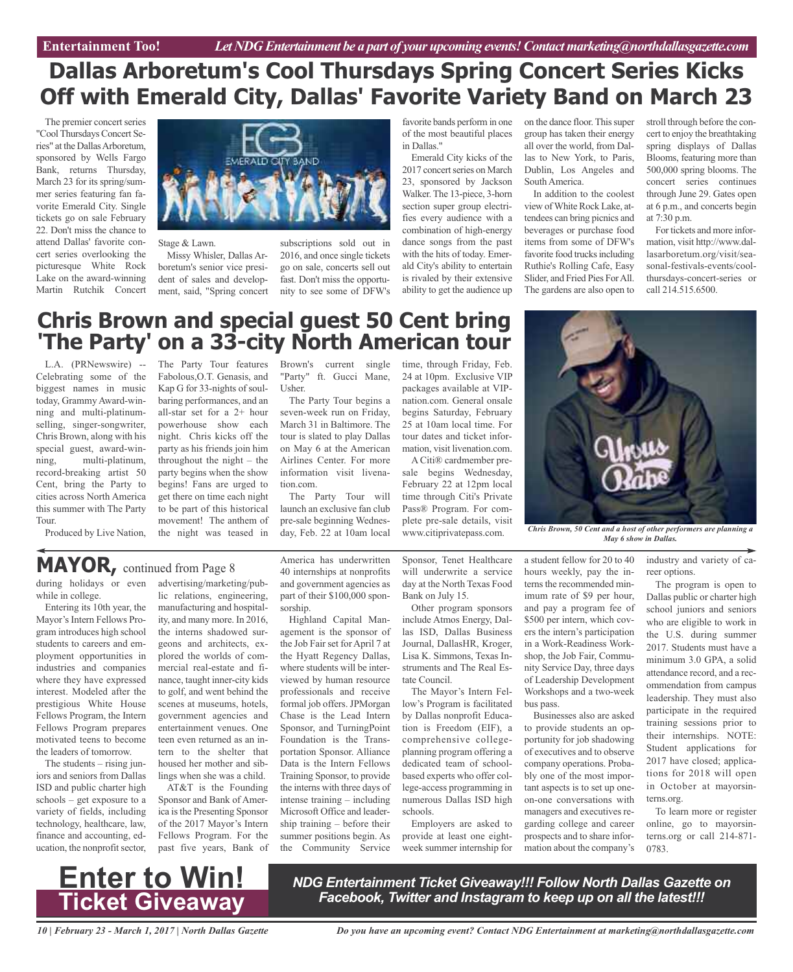### **Dallas Arboretum's Cool Thursdays Spring Concert Series Kicks Off with Emerald City, Dallas' Favorite Variety Band on March 23**

The premier concert series "CoolThursdays Concert Series" at the Dallas Arboretum, sponsored by Wells Fargo Bank, returns Thursday, March 23 for its spring/summer series featuring fan favorite Emerald City. Single tickets go on sale February 22. Don't miss the chance to attend Dallas' favorite concert series overlooking the picturesque White Rock Lake on the award-winning Martin Rutchik Concert



Stage & Lawn.

Missy Whisler, Dallas Arboretum's senior vice president of sales and development, said, "Spring concert

subscriptions sold out in 2016, and once single tickets go on sale, concerts sell out fast. Don't miss the opportunity to see some of DFW's

favorite bands perform in one of the most beautiful places in Dallas."

Emerald City kicks of the 2017 concert series on March 23, sponsored by Jackson Walker. The 13-piece, 3-horn section super group electrifies every audience with a combination of high-energy dance songs from the past with the hits of today. Emerald City's ability to entertain is rivaled by their extensive ability to get the audience up

on the dance floor. This super group has taken their energy all over the world, from Dallas to New York, to Paris, Dublin, Los Angeles and South America.

In addition to the coolest view of White Rock Lake, attendees can bring picnics and beverages or purchase food items from some of DFW's favorite food trucks including Ruthie's Rolling Cafe, Easy Slider, and Fried Pies ForAll. The gardens are also open to stroll through before the concert to enjoy the breathtaking spring displays of Dallas Blooms, featuring more than 500,000 spring blooms. The concert series continues through June 29. Gates open at 6 p.m., and concerts begin at 7:30 p.m.

For tickets and more information, visit http://www.dallasarboretum.org/visit/seasonal-festivals-events/coolthursdays-concert-series or call 214.515.6500.

### **Chris Brown and special guest 50 Cent bring 'The Party' on a 33-city North American tour**

L.A. (PRNewswire) -- Celebrating some of the biggest names in music today, Grammy Award-winning and multi-platinumselling, singer-songwriter, Chris Brown, along with his special guest, award-winning, multi-platinum, record-breaking artist 50 Cent, bring the Party to cities across North America this summer with The Party Tour. Produced by Live Nation,

The Party Tour features Fabolous,O.T. Genasis, and Kap G for 33-nights of soulbaring performances, and an all-star set for a 2+ hour powerhouse show each night. Chris kicks off the party as his friends join him throughout the night – the party begins when the show begins! Fans are urged to get there on time each night to be part of this historical movement! The anthem of the night was teased in

Brown's current single "Party" ft. Gucci Mane, Usher.

The Party Tour begins a seven-week run on Friday, March 31 in Baltimore. The tour is slated to play Dallas on May 6 at the American Airlines Center. For more information visit livenation.com.

The Party Tour will launch an exclusive fan club pre-sale beginning Wednesday, Feb. 22 at 10am local time, through Friday, Feb. 24 at 10pm. Exclusive VIP packages available at VIPnation.com. General onsale begins Saturday, February 25 at 10am local time. For tour dates and ticket information, visit livenation.com. A Citi® cardmember pre-

sale begins Wednesday, February 22 at 12pm local time through Citi's Private Pass® Program. For complete pre-sale details, visit



www.citiprivatepass.com. *Chris Brown, <sup>50</sup> Cent and <sup>a</sup> host of other performers are planning <sup>a</sup> May 6 show in Dallas.*

### **MAYOR,** continued from Page <sup>8</sup>

during holidays or even while in college.

Entering its 10th year, the Mayor's Intern Fellows Program introduces high school students to careers and employment opportunities in industries and companies where they have expressed interest. Modeled after the prestigious White House Fellows Program, the Intern Fellows Program prepares motivated teens to become the leaders of tomorrow.

The students – rising juniors and seniors from Dallas ISD and public charter high schools – get exposure to a variety of fields, including technology, healthcare, law, finance and accounting, education, the nonprofit sector, advertising/marketing/public relations, engineering, manufacturing and hospitality, and many more. In 2016, the interns shadowed surgeons and architects, explored the worlds of commercial real-estate and finance, taught inner-city kids to golf, and went behind the scenes at museums, hotels, government agencies and entertainment venues. One teen even returned as an intern to the shelter that housed her mother and siblings when she was a child.

AT&T is the Founding Sponsor and Bank of America isthe Presenting Sponsor of the 2017 Mayor's Intern Fellows Program. For the past five years, Bank of America has underwritten 40 internships at nonprofits and government agencies as part of their \$100,000 sponsorship.

Highland Capital Management is the sponsor of the Job Fair set for April 7 at the Hyatt Regency Dallas, where students will be interviewed by human resource professionals and receive formal job offers. JPMorgan Chase is the Lead Intern Sponsor, and TurningPoint Foundation is the Transportation Sponsor. Alliance Data is the Intern Fellows Training Sponsor, to provide the interns with three days of intense training – including Microsoft Office and leadership training – before their summer positions begin. As the Community Service

Sponsor, Tenet Healthcare will underwrite a service day at the North Texas Food Bank on July 15.

Other program sponsors include Atmos Energy, Dallas ISD, Dallas Business Journal, DallasHR, Kroger, Lisa K. Simmons, Texas Instruments and The Real Estate Council.

The Mayor's Intern Fellow's Program is facilitated by Dallas nonprofit Education is Freedom (EIF), a comprehensive collegeplanning program offering a dedicated team of schoolbased experts who offer college-access programming in numerous Dallas ISD high schools.

Employers are asked to provide at least one eightweek summer internship for a student fellow for 20 to 40 hours weekly, pay the interns the recommended minimum rate of \$9 per hour, and pay a program fee of \$500 per intern, which covers the intern's participation in a Work-Readiness Workshop, the Job Fair, Community Service Day, three days of Leadership Development Workshops and a two-week bus pass.

Businesses also are asked to provide students an opportunity for job shadowing of executives and to observe company operations. Probably one of the most important aspects is to set up oneon-one conversations with managers and executives regarding college and career prospects and to share information about the company's

industry and variety of career options.

The program is open to Dallas public or charter high school juniors and seniors who are eligible to work in the U.S. during summer 2017. Students must have a minimum 3.0 GPA, a solid attendance record, and a recommendation from campus leadership. They must also participate in the required training sessions prior to their internships. NOTE: Student applications for 2017 have closed; applications for 2018 will open in October at mayorsinterns.org.

To learn more or register online, go to mayorsinterns.org or call 214-871- 0783.



*NDG Entertainment Ticket Giveaway!!! Follow North Dallas Gazette on Facebook, Twitter and Instagram to keep up on all the latest!!!*

*10 | February 23 - March 1, 2017 | North Dallas Gazette*

*Do you have an upcoming event? Contact NDG Entertainment at marketing@northdallasgazette.com*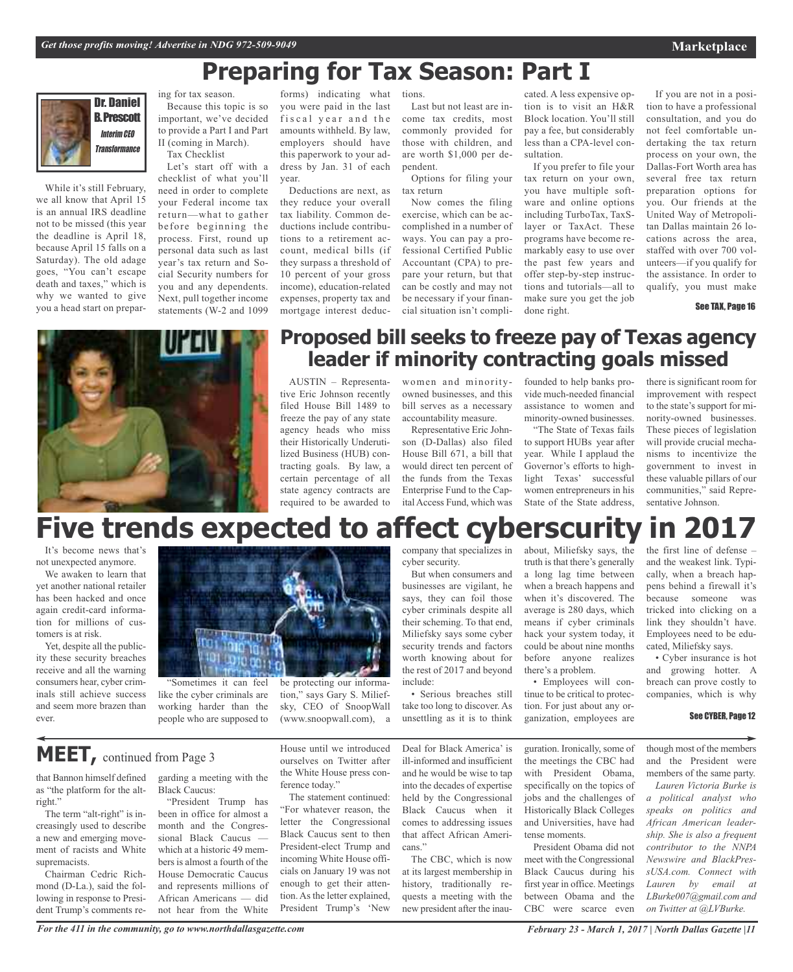## **Preparing for Tax Season: Part I**



While it's still February, we all know that April 15 is an annual IRS deadline not to be missed (this year the deadline is April 18, because April 15 falls on a Saturday). The old adage goes, "You can't escape death and taxes," which is why we wanted to give you a head start on prepar-

ing for tax season. Because this topic is so important, we've decided to provide a Part I and Part II (coming in March). Tax Checklist

Let's start off with a checklist of what you'll need in order to complete your Federal income tax return—what to gather before beginning the process. First, round up personal data such as last year's tax return and Social Security numbers for you and any dependents. Next, pull together income statements (W-2 and 1099

forms) indicating what you were paid in the last fiscal year and the amounts withheld. By law, employers should have this paperwork to your address by Jan. 31 of each year.

Deductions are next, as they reduce your overall tax liability. Common deductions include contributions to a retirement account, medical bills (if they surpass a threshold of 10 percent of your gross income), education-related expenses, property tax and mortgage interest deductions.

Last but not least are income tax credits, most commonly provided for those with children, and are worth \$1,000 per dependent.

Options for filing your tax return

Now comes the filing exercise, which can be accomplished in a number of ways. You can pay a professional Certified Public Accountant (CPA) to prepare your return, but that can be costly and may not be necessary if your financial situation isn't complicated. A less expensive option is to visit an H&R Block location. You'll still pay a fee, but considerably less than a CPA-level consultation.

If you prefer to file your tax return on your own, you have multiple software and online options including TurboTax, TaxSlayer or TaxAct. These programs have become remarkably easy to use over the past few years and offer step-by-step instructions and tutorials—all to make sure you get the job done right.

If you are not in a position to have a professional consultation, and you do not feel comfortable undertaking the tax return process on your own, the Dallas-Fort Worth area has several free tax return preparation options for you. Our friends at the United Way of Metropolitan Dallas maintain 26 locations across the area, staffed with over 700 volunteers—if you qualify for the assistance. In order to qualify, you must make

#### See TAX, Page 16



### **Proposed bill seeks to freeze pay of Texas agency leader if minority contracting goals missed**

AUSTIN – Representative Eric Johnson recently filed House Bill 1489 to freeze the pay of any state agency heads who miss their Historically Underutilized Business (HUB) contracting goals. By law, a certain percentage of all state agency contracts are required to be awarded to

women and minorityowned businesses, and this bill serves as a necessary accountability measure.

Representative Eric Johnson (D-Dallas) also filed House Bill 671, a bill that would direct ten percent of the funds from the Texas Enterprise Fund to the Capital Access Fund, which was

founded to help banks provide much-needed financial assistance to women and minority-owned businesses.

"The State of Texas fails to support HUBs year after year. While I applaud the Governor's efforts to highlight Texas' successful women entrepreneurs in his State of the State address,

there is significant room for improvement with respect to the state's support for minority-owned businesses. These pieces of legislation will provide crucial mechanisms to incentivize the government to invest in these valuable pillars of our communities," said Representative Johnson.

# **Five trends expected to affect cyberscurity in 2017**

It's become news that's not unexpected anymore.

We awaken to learn that yet another national retailer has been hacked and once again credit-card information for millions of customers is at risk.

Yet, despite all the publicity these security breaches receive and all the warning consumers hear, cyber criminals still achieve success and seem more brazen than ever.



"Sometimes it can feel like the cyber criminals are working harder than the people who are supposed to

be protecting our information," says Gary S. Miliefsky, CEO of SnoopWall (www.snoopwall.com), a

company that specializes in cyber security.

But when consumers and businesses are vigilant, he says, they can foil those cyber criminals despite all their scheming. To that end, Miliefsky says some cyber security trends and factors worth knowing about for the rest of 2017 and beyond include:

• Serious breaches still take too long to discover. As unsettling as it is to think about, Miliefsky says, the truth is that there's generally a long lag time between when a breach happens and when it's discovered. The average is 280 days, which means if cyber criminals hack your system today, it could be about nine months before anyone realizes there's a problem.

• Employees will continue to be critical to protection. For just about any organization, employees are

guration. Ironically, some of the meetings the CBC had with President Obama, specifically on the topics of jobs and the challenges of Historically Black Colleges and Universities, have had tense moments.

President Obama did not meet with the Congressional Black Caucus during his first year in office. Meetings between Obama and the CBC were scarce even

the first line of defense – and the weakest link. Typically, when a breach happens behind a firewall it's because someone was tricked into clicking on a link they shouldn't have. Employees need to be educated, Miliefsky says.

• Cyber insurance is hot and growing hotter. A breach can prove costly to companies, which is why

#### See CYBER, Page 12

though most of the members and the President were members of the same party.

*Lauren Victoria Burke is a political analyst who speaks on politics and African American leadership. She is also a frequent contributor to the NNPA Newswire and BlackPressUSA.com. Connect with Lauren by email at LBurke007@gmail.com and on Twitter at @LVBurke.*

**MEET,** continued from Page <sup>3</sup>

that Bannon himself defined as "the platform for the altright."

The term "alt-right" is increasingly used to describe a new and emerging movement of racists and White supremacists.

Chairman Cedric Richmond (D-La.), said the following in response to President Trump's comments regarding a meeting with the Black Caucus:

"President Trump has been in office for almost a month and the Congressional Black Caucus which at a historic 49 members is almost a fourth of the House Democratic Caucus and represents millions of African Americans — did not hear from the White House until we introduced ourselves on Twitter after the White House press conference today."

The statement continued: "For whatever reason, the letter the Congressional Black Caucus sent to then President-elect Trump and incoming White House officials on January 19 was not enough to get their attention. As the letter explained, President Trump's 'New

Deal for Black America' is ill-informed and insufficient and he would be wise to tap into the decades of expertise held by the Congressional Black Caucus when it comes to addressing issues that affect African Americans."

The CBC, which is now at its largest membership in history, traditionally requests a meeting with the new president after the inau-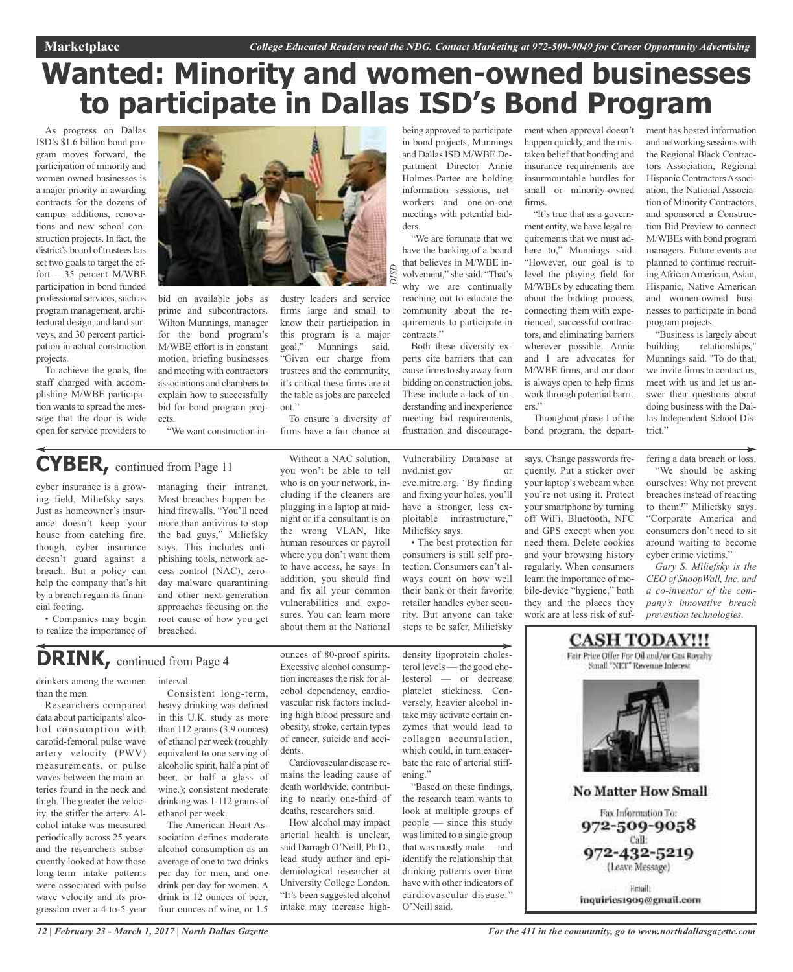## **Wanted: Minority and women-owned businesses to participate in Dallas ISD's Bond Program**

*DISD*

As progress on Dallas ISD's \$1.6 billion bond program moves forward, the participation of minority and women owned businesses is a major priority in awarding contracts for the dozens of campus additions, renovations and new school construction projects. In fact, the district's board of trustees has set two goals to target the effort – 35 percent M/WBE participation in bond funded professional services, such as program management, architectural design, and land surveys, and 30 percent participation in actual construction projects.

To achieve the goals, the staff charged with accomplishing M/WBE participation wants to spread the message that the door is wide open for service providers to



bid on available jobs as prime and subcontractors. Wilton Munnings, manager for the bond program's M/WBE effort is in constant motion, briefing businesses and meeting with contractors associations and chambers to explain how to successfully bid for bond program projects.

firms large and small to know their participation in this program is a major goal," Munnings said. "Given our charge from trustees and the community, it's critical these firms are at the table as jobs are parceled out."

dustry leaders and service

To ensure a diversity of firms have a fair chance at

being approved to participate in bond projects, Munnings and Dallas ISD M/WBE Department Director Annie Holmes-Partee are holding information sessions, networkers and one-on-one meetings with potential bidders.

"We are fortunate that we have the backing of a board that believes in M/WBE involvement," she said. "That's why we are continually reaching out to educate the community about the requirements to participate in contracts."

Both these diversity experts cite barriers that can cause firms to shy away from bidding on construction jobs. These include a lack of understanding and inexperience meeting bid requirements, frustration and discouragehappen quickly, and the mistaken belief that bonding and insurance requirements are insurmountable hurdles for small or minority-owned firms.

ment when approval doesn't

"It's true that as a government entity, we have legal requirements that we must adhere to," Munnings said. "However, our goal is to level the playing field for M/WBEs by educating them about the bidding process, connecting them with experienced, successful contractors, and eliminating barriers wherever possible. Annie and I are advocates for M/WBE firms, and our door is always open to help firms work through potential barriers."

Throughout phase 1 of the bond program, the depart-

says. Change passwords frequently. Put a sticker over your laptop's webcam when you're not using it. Protect your smartphone by turning off WiFi, Bluetooth, NFC and GPS except when you need them. Delete cookies and your browsing history regularly. When consumers learn the importance of mobile-device "hygiene," both they and the places they work are at less risk of sufment has hosted information and networking sessions with the Regional Black Contractors Association, Regional Hispanic Contractors Association, the National Association of Minority Contractors, and sponsored a Construction Bid Preview to connect M/WBEs with bond program managers. Future events are planned to continue recruiting African American, Asian, Hispanic, Native American and women-owned businesses to participate in bond program projects.

"Business is largely about building relationships," Munnings said. "To do that, we invite firms to contact us, meet with us and let us answer their questions about doing business with the Dallas Independent School District."

fering a data breach or loss.

"We should be asking ourselves: Why not prevent breaches instead of reacting to them?" Miliefsky says. "Corporate America and consumers don't need to sit around waiting to become cyber crime victims."

*Gary S. Miliefsky is the CEO of SnoopWall, Inc. and a co-inventor of the company's innovative breach prevention technologies.*

## **DRINK,** continued from Page <sup>4</sup>

interval.

ethanol per week.

drinkers among the women than the men.

Researchers compared data about participants' alcohol consumption with carotid-femoral pulse wave artery velocity (PWV) measurements, or pulse waves between the main arteries found in the neck and thigh. The greater the velocity, the stiffer the artery. Alcohol intake was measured periodically across 25 years and the researchers subsequently looked at how those long-term intake patterns were associated with pulse wave velocity and its progression over a 4-to-5-year

managing their intranet. Most breaches happen behind firewalls. "You'll need more than antivirus to stop the bad guys," Miliefsky says. This includes antiphishing tools, network access control (NAC), zeroday malware quarantining and other next-generation approaches focusing on the root cause of how you get breached.

Consistent long-term, heavy drinking was defined in this U.K. study as more than 112 grams (3.9 ounces) of ethanol per week (roughly equivalent to one serving of alcoholic spirit, half a pint of beer, or half a glass of wine.); consistent moderate drinking was 1-112 grams of

The American Heart Association defines moderate alcohol consumption as an average of one to two drinks per day for men, and one drink per day for women. A drink is 12 ounces of beer,

Without a NAC solution, you won't be able to tell who is on your network, including if the cleaners are plugging in a laptop at midnight or if a consultant is on the wrong VLAN, like human resources or payroll where you don't want them to have access, he says. In addition, you should find and fix all your common vulnerabilities and exposures. You can learn more about them at the National

ounces of 80-proof spirits. Excessive alcohol consumption increases the risk for alcohol dependency, cardiovascular risk factors including high blood pressure and obesity, stroke, certain types of cancer, suicide and acci-

Cardiovascular disease remains the leading cause of death worldwide, contributing to nearly one-third of deaths, researchers said. How alcohol may impact arterial health is unclear, said Darragh O'Neill, Ph.D., lead study author and epidemiological researcher at University College London. "It's been suggested alcohol intake may increase high-

dents.

Vulnerability Database at nvd.nist.gov or cve.mitre.org. "By finding and fixing your holes, you'll have a stronger, less exploitable infrastructure," Miliefsky says.

• The best protection for consumers is still self protection. Consumers can't always count on how well their bank or their favorite retailer handles cyber security. But anyone can take steps to be safer, Miliefsky

density lipoprotein cholesterol levels — the good cholesterol — or decrease platelet stickiness. Conversely, heavier alcohol intake may activate certain enzymes that would lead to collagen accumulation, which could, in turn exacerbate the rate of arterial stiff-

ening." "Based on these findings, the research team wants to look at multiple groups of people — since this study was limited to a single group that was mostly male — and identify the relationship that drinking patterns over time have with other indicators of cardiovascular disease." O'Neill said.

Fair Price Offer For Oil and/or Cas Royalty<br>Small "NET" Revenue Interest **No Matter How Small** Fax Information To: 972-509-9058

**CASH TODAY!!!** 

Call: 972-432-5219 (Leave Message)

Friail: inquiries1909@gmail.com

"We want construction in-

### **CYBER,** continued from Page <sup>11</sup>

cyber insurance is a growing field, Miliefsky says. Just as homeowner's insurance doesn't keep your house from catching fire, though, cyber insurance doesn't guard against a breach. But a policy can help the company that's hit by a breach regain its financial footing.

• Companies may begin to realize the importance of

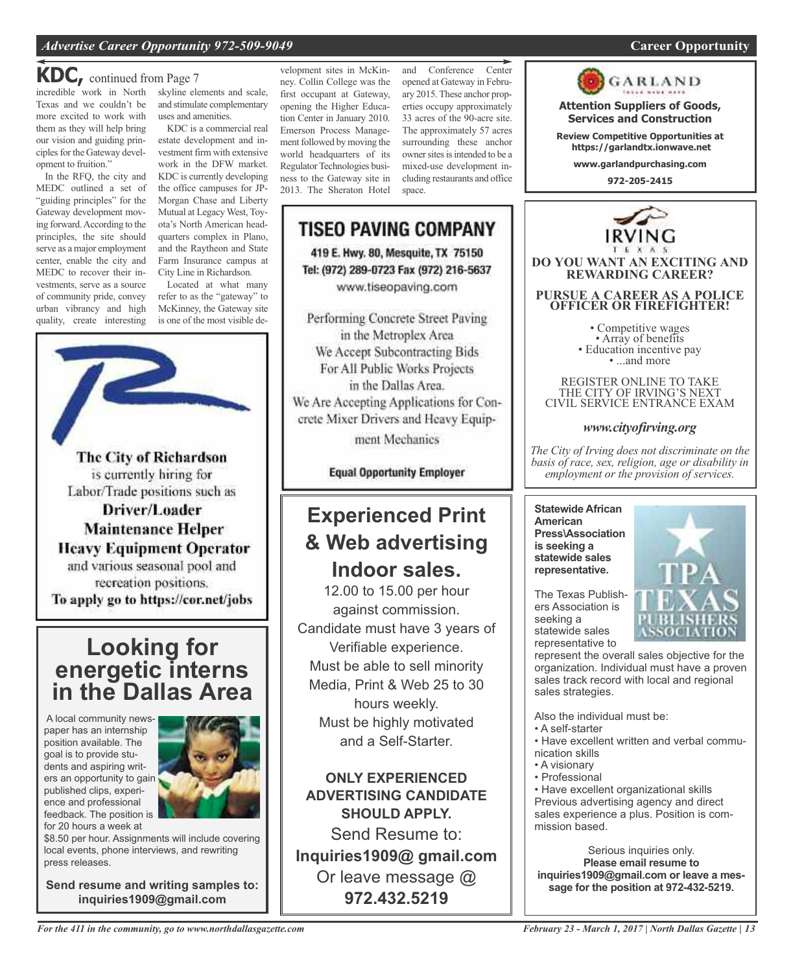### **KDC,** continued from Page <sup>7</sup>

incredible work in North skyline elements and scale, Texas and we couldn't be more excited to work with them as they will help bring our vision and guiding principles for the Gateway development to fruition."

In the RFQ, the city and MEDC outlined a set of "guiding principles" for the Gateway development moving forward.According to the principles, the site should serve as a major employment center, enable the city and MEDC to recover their investments, serve as a source of community pride, convey urban vibrancy and high quality, create interesting

and stimulate complementary uses and amenities.

KDC is a commercial real estate development and investment firm with extensive work in the DFW market. KDC is currently developing the office campuses for JP-Morgan Chase and Liberty Mutual at Legacy West, Toyota's North American headquarters complex in Plano, and the Raytheon and State Farm Insurance campus at City Line in Richardson.

Located at what many refer to as the "gateway" to McKinney, the Gateway site is one of the most visible de-



The City of Richardson is currently hiring for Labor/Trade positions such as Driver/Loader **Maintenance Helper Heavy Equipment Operator** and various seasonal pool and recreation positions. To apply go to https://cor.net/jobs

### **Looking for energetic interns in the Dallas Area**

A local community newspaper has an internship position available. The goal is to provide students and aspiring writers an opportunity to gain published clips, experience and professional feedback. The position is for 20 hours a week at



\$8.50 per hour. Assignments will include covering local events, phone interviews, and rewriting press releases.

**Send resume and writing samples to: inquiries1909@gmail.com**

velopment sites in McKinney. Collin College was the first occupant at Gateway, opening the Higher Education Center in January 2010. Emerson Process Management followed by moving the world headquarters of its Regulator Technologies business to the Gateway site in 2013. The Sheraton Hotel

and Conference Center opened at Gateway in February 2015.These anchor properties occupy approximately 33 acres of the 90-acre site. The approximately 57 acres surrounding these anchor owner sites is intended to be a mixed-use development including restaurants and office space.



www.tiseopaving.com

Performing Concrete Street Paving in the Metroplex Area We Accept Subcontracting Bids For All Public Works Projects in the Dallas Area. We Are Accepting Applications for Concrete Mixer Drivers and Heavy Equip-

ment Mechanics

**Equal Opportunity Employer** 

### **Experienced Print & Web advertising Indoor sales.**

12.00 to 15.00 per hour against commission. Candidate must have 3 years of Verifiable experience. Must be able to sell minority Media, Print & Web 25 to 30 hours weekly. Must be highly motivated and a Self-Starter.

**ONLY EXPERIENCED ADVERTISING CANDIDATE SHOULD APPLY.**

Send Resume to: **Inquiries1909@ gmail.com** Or leave message @ **972.432.5219**



**Review Competitive Opportunities at https://garlandtx.ionwave.net**

**www.garlandpurchasing.com**

**972-205-2415**



*www.cityofirving.org*

*The City of Irving does not discriminate on the basis of race, sex, religion, age or disability in employment or the provision of services.*

**Statewide African American Press\Association is seeking a statewide sales representative.**



The Texas Publishers Association is seeking a statewide sales representative to

represent the overall sales objective for the organization. Individual must have a proven sales track record with local and regional sales strategies.

Also the individual must be:

- A self-starter
- Have excellent written and verbal communication skills
- A visionary
- Professional

• Have excellent organizational skills Previous advertising agency and direct sales experience a plus. Position is commission based.

Serious inquiries only. **Please email resume to inquiries1909@gmail.com or leave a message for the position at 972-432-5219.**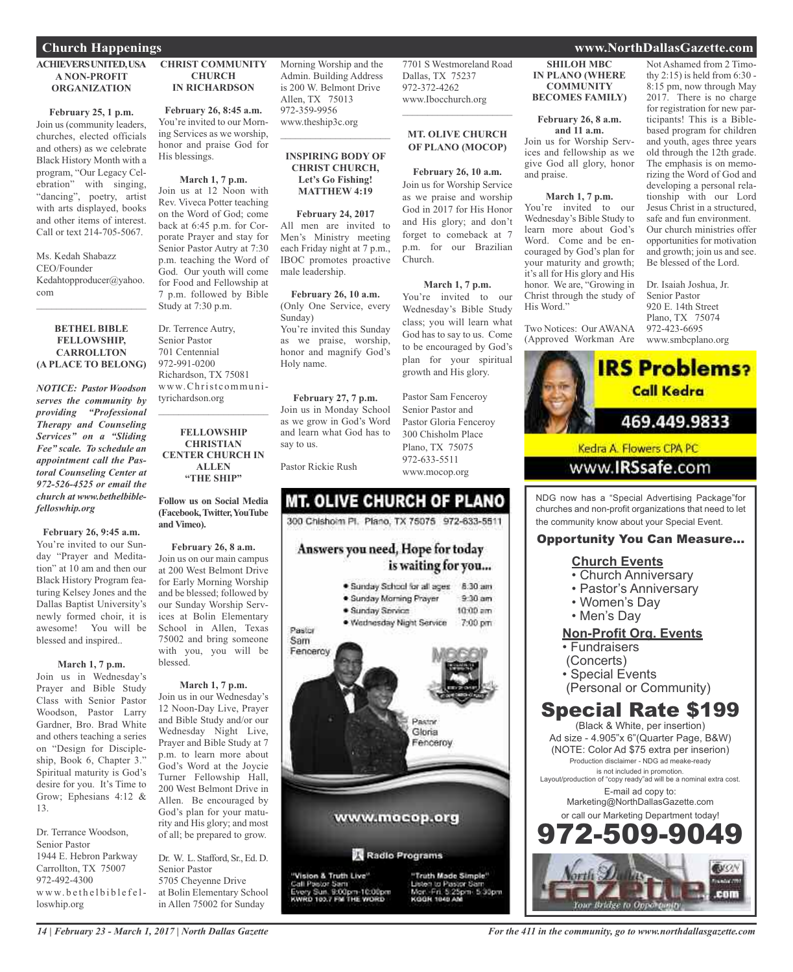#### **ACHIEVERSUNITED,USA A NON-PROFIT ORGANIZATION**

**February 25, 1 p.m.** Join us (community leaders, churches, elected officials and others) as we celebrate Black History Month with a program, "Our Legacy Celebration" with singing, "dancing", poetry, artist with arts displayed, books and other items of interest. Call or text 214-705-5067.

Ms. Kedah Shabazz CEO/Founder Kedahtopproducer@yahoo. com

#### **BETHEL BIBLE FELLOWSHIP, CARROLLTON (A PLACE TO BELONG)**

 $\mathcal{L}_\text{max}$  and  $\mathcal{L}_\text{max}$  and  $\mathcal{L}_\text{max}$ 

*NOTICE: Pastor Woodson serves the community by providing "Professional Therapy and Counseling Services" on a "Sliding Fee" scale. To schedule an appointment call the Pastoral Counseling Center at 972-526-4525 or email the church at www.bethelbiblefelloswhip.org*

**February 26, 9:45 a.m.**

You're invited to our Sunday "Prayer and Meditation" at 10 am and then our Black History Program featuring Kelsey Jones and the Dallas Baptist University's newly formed choir, it is awesome! You will be blessed and inspired..

#### **March 1, 7 p.m.**

Join us in Wednesday's Prayer and Bible Study Class with Senior Pastor Woodson, Pastor Larry Gardner, Bro. Brad White and others teaching a series on "Design for Discipleship, Book 6, Chapter 3." Spiritual maturity is God's desire for you. It's Time to Grow; Ephesians 4:12 & 13.

Dr. Terrance Woodson, Senior Pastor 1944 E. Hebron Parkway Carrollton, TX 75007 972-492-4300 www.bethelbiblefelloswhip.org

#### **CHRIST COMMUNITY CHURCH IN RICHARDSON**

**February 26, 8:45 a.m.** You're invited to our Morning Services as we worship, honor and praise God for His blessings.

**March 1, 7 p.m.** Join us at 12 Noon with Rev. Viveca Potter teaching on the Word of God; come back at 6:45 p.m. for Corporate Prayer and stay for Senior Pastor Autry at 7:30 p.m. teaching the Word of God. Our youth will come for Food and Fellowship at 7 p.m. followed by Bible Study at 7:30 p.m.

Dr. Terrence Autry, Senior Pastor 701 Centennial 972-991-0200 Richardson, TX 75081 www.Christcommunityrichardson.org  $\mathcal{L}_\text{max}$  and  $\mathcal{L}_\text{max}$  and  $\mathcal{L}_\text{max}$ 

#### **FELLOWSHIP CHRISTIAN CENTER CHURCH IN ALLEN "THE SHIP"**

**Follow us on Social Media (Facebook,Twitter,YouTube and Vimeo).**

**February 26, 8 a.m.** Join us on our main campus at 200 West Belmont Drive for Early Morning Worship and be blessed; followed by our Sunday Worship Services at Bolin Elementary School in Allen, Texas 75002 and bring someone with you, you will be blessed.

#### **March 1, 7 p.m.**

Join us in our Wednesday's 12 Noon-Day Live, Prayer and Bible Study and/or our Wednesday Night Live, Prayer and Bible Study at 7 p.m. to learn more about God's Word at the Joycie Turner Fellowship Hall, 200 West Belmont Drive in Allen. Be encouraged by God's plan for your maturity and His glory; and most of all; be prepared to grow.

Dr. W. L. Stafford, Sr., Ed. D. Senior Pastor 5705 Cheyenne Drive at Bolin Elementary School in Allen 75002 for Sunday

Morning Worship and the Admin. Building Address is 200 W. Belmont Drive Allen, TX 75013 972-359-9956 www.theship3c.org

#### **INSPIRING BODY OF CHRIST CHURCH, Let's Go Fishing! MATTHEW 4:19**

 $\overline{\phantom{a}}$  , which is a set of the set of the set of the set of the set of the set of the set of the set of the set of the set of the set of the set of the set of the set of the set of the set of the set of the set of th

**February 24, 2017** All men are invited to Men's Ministry meeting each Friday night at 7 p.m., IBOC promotes proactive male leadership.

**February 26, 10 a.m.** (Only One Service, every Sunday)

You're invited this Sunday as we praise, worship, honor and magnify God's Holy name.

**February 27, 7 p.m.** Join us in Monday School as we grow in God's Word and learn what God has to say to us.

Pastor Rickie Rush

### **MT. OLIVE CHURCH OF PLANO** 300 Chishoim Pt. Plano, TX 75075 972-633-5511

### Answers you need, Hope for today is waiting for you...



#### **SHILOH MBC IN PLANO (WHERE COMMUNITY BECOMES FAMILY)**

7701 S Westmoreland Road

**MT. OLIVE CHURCH OF PLANO (MOCOP)**

**February 26, 10 a.m.** Join us for Worship Service as we praise and worship God in 2017 for His Honor and His glory; and don't forget to comeback at 7 p.m. for our Brazilian

**March 1, 7 p.m.** You're invited to our Wednesday's Bible Study class; you will learn what God has to say to us. Come to be encouraged by God's plan for your spiritual growth and His glory.

Pastor Sam Fenceroy Senior Pastor and Pastor Gloria Fenceroy 300 Chisholm Place Plano, TX 75075 972-633-5511 www.mocop.org

Church.

Dallas, TX 75237 972-372-4262 www.Ibocchurch.org  $\overline{\phantom{a}}$  , and the set of the set of the set of the set of the set of the set of the set of the set of the set of the set of the set of the set of the set of the set of the set of the set of the set of the set of the s

#### **February 26, 8 a.m. and 11 a.m.** Join us for Worship Serv-

ices and fellowship as we give God all glory, honor and praise.

**March 1, 7 p.m.**

You're invited to our Wednesday's Bible Study to learn more about God's Word. Come and be encouraged by God's plan for your maturity and growth; it's all for His glory and His honor. We are, "Growing in Christ through the study of His Word."

Two Notices: Our AWANA (Approved Workman Are

Not Ashamed from 2 Timothy 2:15) is held from 6:30 - 8:15 pm, now through May 2017. There is no charge for registration for new participants! This is a Biblebased program for children and youth, ages three years old through the 12th grade. The emphasis is on memorizing the Word of God and developing a personal relationship with our Lord Jesus Christ in a structured, safe and fun environment. Our church ministries offer opportunities for motivation and growth; join us and see.

Dr. Isaiah Joshua, Jr. Senior Pastor 920 E. 14th Street Plano, TX 75074 972-423-6695 www.smbcplano.org

Be blessed of the Lord.



NDG now has a "Special Advertising Package"for churches and non-profit organizations that need to let the community know about your Special Event.

### Opportunity You Can Measure...

### **Church Events**

- Church Anniversary
- Pastor's Anniversary
- Women's Day
- Men's Day

### **Non-Profit Org. Events**

- Fundraisers
- (Concerts)
- Special Events
- (Personal or Community)

### Special Rate \$199

(Black & White, per insertion) Ad size - 4.905"x 6"(Quarter Page, B&W) (NOTE: Color Ad \$75 extra per inserion) Production disclaimer - NDG ad meake-ready is not included in promotion. Layout/production of "copy ready"ad will be a nominal extra cost. E-mail ad copy to: Marketing@NorthDallasGazette.com or call our Marketing Department today! -509-9



#### **Church Happenings www.NorthDallasGazette.com**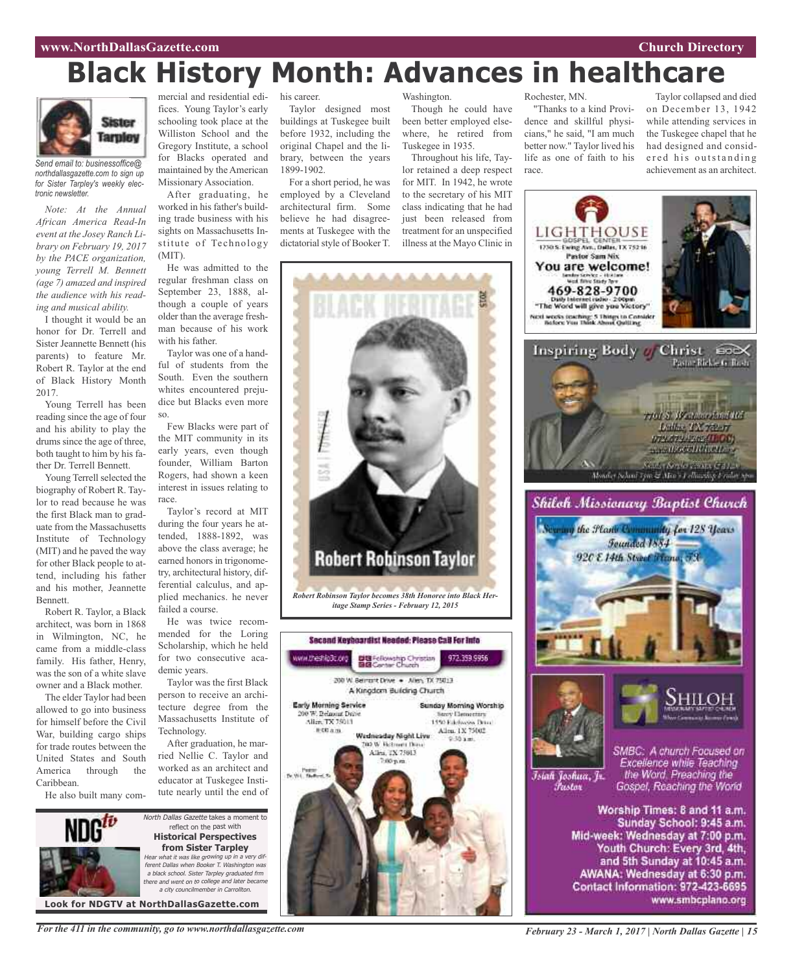#### **www.NorthDallasGazette.com Church Directory**

# **Black History Month: Advances in healthcare**

*itage Stamp Series - February 12, 2015*

**Big** Fellowship Christian<br>图图 Center Church

200 W. Berrort Drive . - Allen, TX 75013 A Kingdom Building Church

> Allen, TX 75013  $700~\text{p}$ m

www.theshlp3c.org

Early Morning Service

200 W. Belanciat Drive Allen, TX 75013 #00 a.m.



*Send email to: businessoffice@ northdallasgazette.com to sign up for Sister Tarpley's weekly electronic newsletter.*

*Note: At the Annual African America Read-In event at the Josey Ranch Library on February 19, 2017 by the PACE organization, young Terrell M. Bennett (age 7) amazed and inspired the audience with his reading and musical ability.*

I thought it would be an honor for Dr. Terrell and Sister Jeannette Bennett (his parents) to feature Mr. Robert R. Taylor at the end of Black History Month 2017.

Young Terrell has been reading since the age of four and his ability to play the drums since the age of three, both taught to him by his father Dr. Terrell Bennett.

Young Terrell selected the biography of Robert R. Taylor to read because he was the first Black man to graduate from the Massachusetts Institute of Technology (MIT) and he paved the way for other Black people to attend, including his father and his mother, Jeannette Bennett.

Robert R. Taylor, a Black architect, was born in 1868 in Wilmington, NC, he came from a middle-class family. His father, Henry, was the son of a white slave owner and a Black mother.

The elder Taylor had been allowed to go into business for himself before the Civil War, building cargo ships for trade routes between the United States and South America through the Caribbean.

He also built many com-

mercial and residential edifices. Young Taylor's early schooling took place at the Williston School and the Gregory Institute, a school for Blacks operated and maintained by the American Missionary Association.

After graduating, he worked in his father's building trade business with his sights on Massachusetts Institute of Technology (MIT).

He was admitted to the regular freshman class on September 23, 1888, although a couple of years older than the average freshman because of his work with his father

Taylor was one of a handful of students from the South. Even the southern whites encountered prejudice but Blacks even more so.

Few Blacks were part of the MIT community in its early years, even though founder, William Barton Rogers, had shown a keen interest in issues relating to race.

Taylor's record at MIT during the four years he attended, 1888-1892, was above the class average; he earned honors in trigonometry, architectural history, differential calculus, and applied mechanics. he never failed a course.

He was twice recommended for the Loring Scholarship, which he held for two consecutive academic years.

Taylor was the first Black person to receive an architecture degree from the Massachusetts Institute of Technology.

After graduation, he married Nellie C. Taylor and worked as an architect and educator at Tuskegee Institute nearly until the end of



his career.

Taylor designed most buildings at Tuskegee built before 1932, including the original Chapel and the library, between the years 1899-1902.

For a short period, he was employed by a Cleveland architectural firm. Some believe he had disagreements at Tuskegee with the dictatorial style of Booker T.

Washington.

Though he could have been better employed elsewhere, he retired from Tuskegee in 1935.

Throughout his life, Taylor retained a deep respect for MIT. In 1942, he wrote to the secretary of his MIT class indicating that he had just been released from treatment for an unspecified illness at the Mayo Clinic in

Rochester, MN.

"Thanks to a kind Providence and skillful physicians," he said, "I am much better now." Taylor lived his life as one of faith to his race.

Taylor collapsed and died on December 13, 1942 while attending services in the Tuskegee chapel that he had designed and considered his outstanding achievement as an architect.





*For the 411 in the community, go to www.northdallasgazette.com*